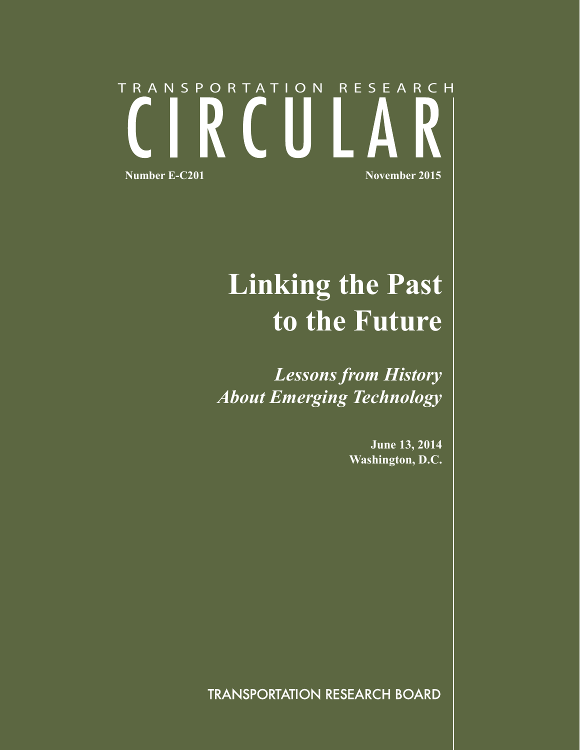# T R A N S P O R T A T I O N R E S E A R C H **Number E-C201** November 2015

# **Linking the Past to the Future**

*Lessons from History About Emerging Technology*

> **June 13, 2014 Washington, D.C.**

**TRANSPORTATION RESEARCH BOARD**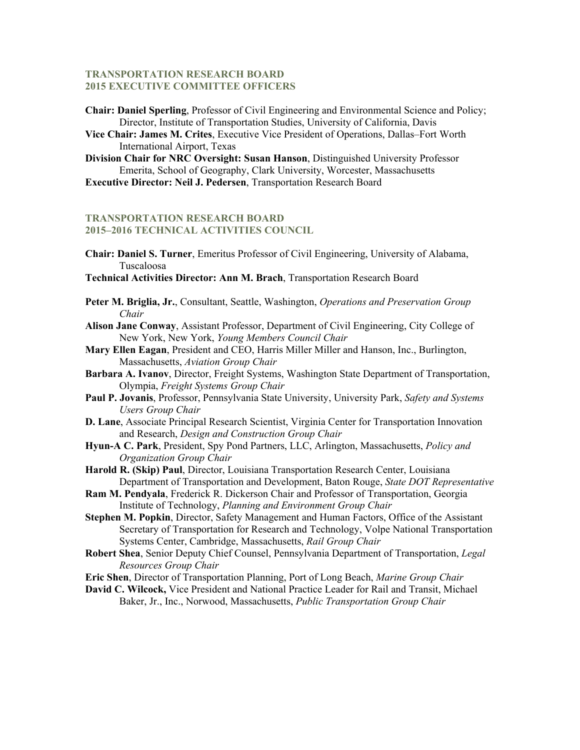#### **TRANSPORTATION RESEARCH BOARD 2015 EXECUTIVE COMMITTEE OFFICERS**

- **Chair: Daniel Sperling**, Professor of Civil Engineering and Environmental Science and Policy; Director, Institute of Transportation Studies, University of California, Davis
- **Vice Chair: James M. Crites**, Executive Vice President of Operations, Dallas–Fort Worth International Airport, Texas
- **Division Chair for NRC Oversight: Susan Hanson**, Distinguished University Professor Emerita, School of Geography, Clark University, Worcester, Massachusetts

**Executive Director: Neil J. Pedersen**, Transportation Research Board

#### **TRANSPORTATION RESEARCH BOARD 2015–2016 TECHNICAL ACTIVITIES COUNCIL**

- **Chair: Daniel S. Turner**, Emeritus Professor of Civil Engineering, University of Alabama, Tuscaloosa
- **Technical Activities Director: Ann M. Brach**, Transportation Research Board
- **Peter M. Briglia, Jr.**, Consultant, Seattle, Washington, *Operations and Preservation Group Chair*
- **Alison Jane Conway**, Assistant Professor, Department of Civil Engineering, City College of New York, New York, *Young Members Council Chair*
- **Mary Ellen Eagan**, President and CEO, Harris Miller Miller and Hanson, Inc., Burlington, Massachusetts, *Aviation Group Chair*
- **Barbara A. Ivanov**, Director, Freight Systems, Washington State Department of Transportation, Olympia, *Freight Systems Group Chair*
- **Paul P. Jovanis**, Professor, Pennsylvania State University, University Park, *Safety and Systems Users Group Chair*
- **D. Lane**, Associate Principal Research Scientist, Virginia Center for Transportation Innovation and Research, *Design and Construction Group Chair*
- **Hyun-A C. Park**, President, Spy Pond Partners, LLC, Arlington, Massachusetts, *Policy and Organization Group Chair*
- **Harold R. (Skip) Paul**, Director, Louisiana Transportation Research Center, Louisiana Department of Transportation and Development, Baton Rouge, *State DOT Representative*
- **Ram M. Pendyala**, Frederick R. Dickerson Chair and Professor of Transportation, Georgia Institute of Technology, *Planning and Environment Group Chair*
- **Stephen M. Popkin**, Director, Safety Management and Human Factors, Office of the Assistant Secretary of Transportation for Research and Technology, Volpe National Transportation Systems Center, Cambridge, Massachusetts, *Rail Group Chair*
- **Robert Shea**, Senior Deputy Chief Counsel, Pennsylvania Department of Transportation, *Legal Resources Group Chair*
- **Eric Shen**, Director of Transportation Planning, Port of Long Beach, *Marine Group Chair*
- **David C. Wilcock,** Vice President and National Practice Leader for Rail and Transit, Michael Baker, Jr., Inc., Norwood, Massachusetts, *Public Transportation Group Chair*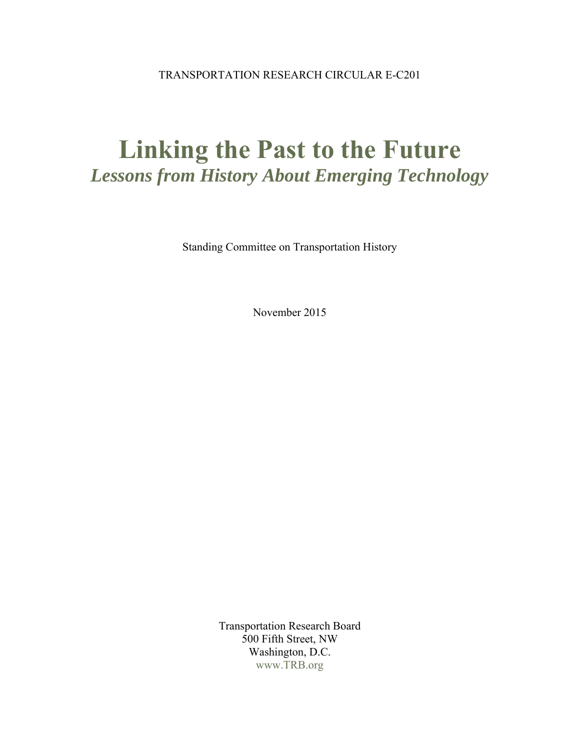TRANSPORTATION RESEARCH CIRCULAR E-C201

# **Linking the Past to the Future**  *Lessons from History About Emerging Technology*

Standing Committee on Transportation History

November 2015

Transportation Research Board 500 Fifth Street, NW Washington, D.C. [www.TRB.org](http://www.trb.org)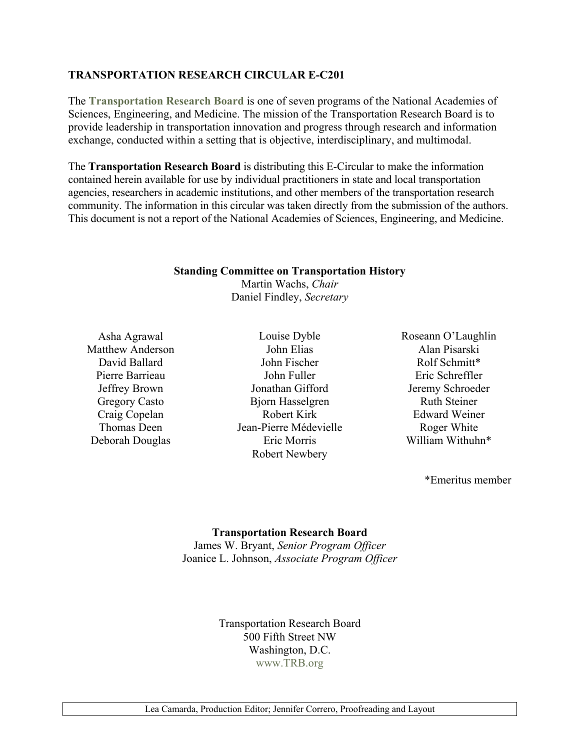#### **TRANSPORTATION RESEARCH CIRCULAR E-C201**

The **[Transportation Research Board](#page-34-0)** is one of seven programs of the National Academies of Sciences, Engineering, and Medicine. The mission of the Transportation Research Board is to provide leadership in transportation innovation and progress through research and information exchange, conducted within a setting that is objective, interdisciplinary, and multimodal.

The **Transportation Research Board** is distributing this E-Circular to make the information contained herein available for use by individual practitioners in state and local transportation agencies, researchers in academic institutions, and other members of the transportation research community. The information in this circular was taken directly from the submission of the authors. This document is not a report of the National Academies of Sciences, Engineering, and Medicine.

#### **Standing Committee on Transportation History**

Martin Wachs, *Chair* Daniel Findley, *Secretary*

Asha Agrawal Matthew Anderson David Ballard Pierre Barrieau Jeffrey Brown Gregory Casto Craig Copelan Thomas Deen Deborah Douglas

Louise Dyble John Elias John Fischer John Fuller Jonathan Gifford Bjorn Hasselgren Robert Kirk Jean-Pierre Médevielle Eric Morris Robert Newbery

Roseann O'Laughlin Alan Pisarski Rolf Schmitt\* Eric Schreffler Jeremy Schroeder Ruth Steiner Edward Weiner Roger White William Withuhn\*

\*Emeritus member

#### **Transportation Research Board**

James W. Bryant, *Senior Program Officer* Joanice L. Johnson, *Associate Program Officer* 

> Transportation Research Board 500 Fifth Street NW Washington, D.C. [www.TRB.org](http://www.trb.org)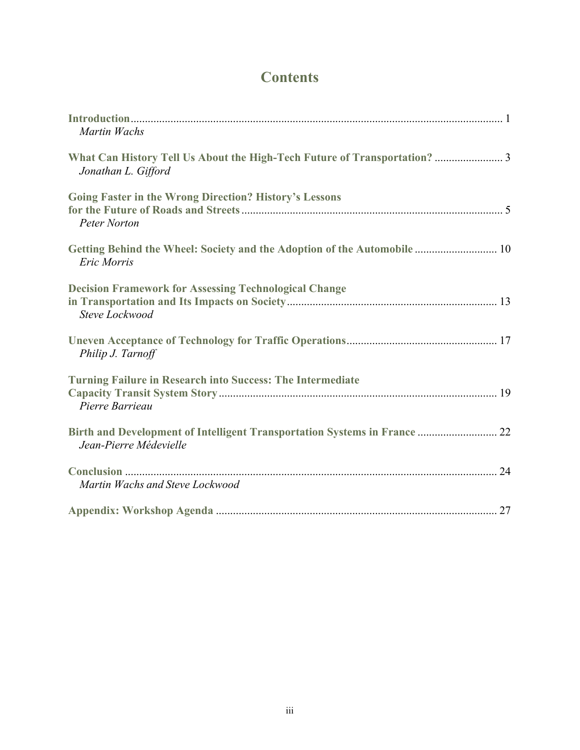# **Contents**

| Martin Wachs                                                                                        |  |
|-----------------------------------------------------------------------------------------------------|--|
| What Can History Tell Us About the High-Tech Future of Transportation?  3<br>Jonathan L. Gifford    |  |
| <b>Going Faster in the Wrong Direction? History's Lessons</b><br><b>Peter Norton</b>                |  |
| Getting Behind the Wheel: Society and the Adoption of the Automobile  10<br>Eric Morris             |  |
| <b>Decision Framework for Assessing Technological Change</b><br>Steve Lockwood                      |  |
| Philip J. Tarnoff                                                                                   |  |
| Turning Failure in Research into Success: The Intermediate<br>Pierre Barrieau                       |  |
| Birth and Development of Intelligent Transportation Systems in France  22<br>Jean-Pierre Médevielle |  |
| Martin Wachs and Steve Lockwood                                                                     |  |
|                                                                                                     |  |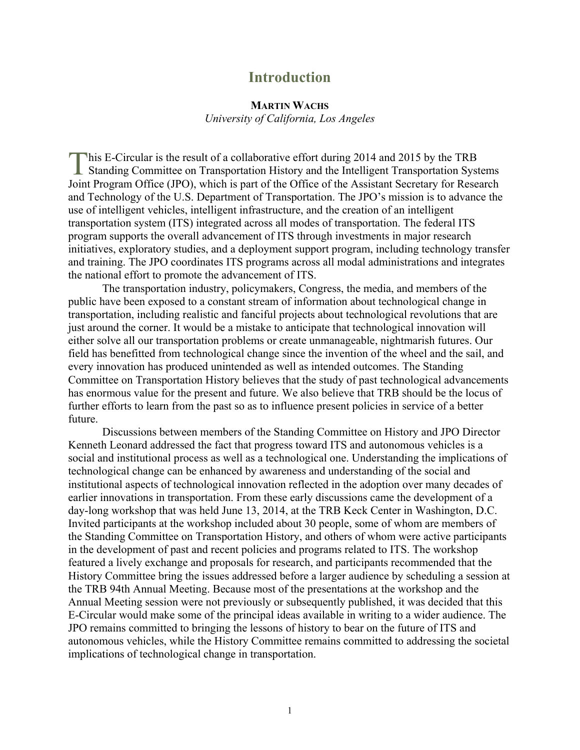#### **Introduction**

#### **MARTIN WACHS**

*University of California, Los Angeles* 

<span id="page-6-0"></span>This E-Circular is the result of a collaborative effort during 2014 and 2015 by the TRB<br>Standing Committee on Transportation History and the Intelligent Transportation Syst **L** Standing Committee on Transportation History and the Intelligent Transportation Systems Joint Program Office (JPO), which is part of the Office of the Assistant Secretary for Research and Technology of the U.S. Department of Transportation. The JPO's mission is to advance the use of intelligent vehicles, intelligent infrastructure, and the creation of an intelligent transportation system (ITS) integrated across all modes of transportation. The federal ITS program supports the overall advancement of ITS through investments in major research initiatives, exploratory studies, and a deployment support program, including technology transfer and training. The JPO coordinates ITS programs across all modal administrations and integrates the national effort to promote the advancement of ITS.

The transportation industry, policymakers, Congress, the media, and members of the public have been exposed to a constant stream of information about technological change in transportation, including realistic and fanciful projects about technological revolutions that are just around the corner. It would be a mistake to anticipate that technological innovation will either solve all our transportation problems or create unmanageable, nightmarish futures. Our field has benefitted from technological change since the invention of the wheel and the sail, and every innovation has produced unintended as well as intended outcomes. The Standing Committee on Transportation History believes that the study of past technological advancements has enormous value for the present and future. We also believe that TRB should be the locus of further efforts to learn from the past so as to influence present policies in service of a better future.

Discussions between members of the Standing Committee on History and JPO Director Kenneth Leonard addressed the fact that progress toward ITS and autonomous vehicles is a social and institutional process as well as a technological one. Understanding the implications of technological change can be enhanced by awareness and understanding of the social and institutional aspects of technological innovation reflected in the adoption over many decades of earlier innovations in transportation. From these early discussions came the development of a day-long workshop that was held June 13, 2014, at the TRB Keck Center in Washington, D.C. Invited participants at the workshop included about 30 people, some of whom are members of the Standing Committee on Transportation History, and others of whom were active participants in the development of past and recent policies and programs related to ITS. The workshop featured a lively exchange and proposals for research, and participants recommended that the History Committee bring the issues addressed before a larger audience by scheduling a session at the TRB 94th Annual Meeting. Because most of the presentations at the workshop and the Annual Meeting session were not previously or subsequently published, it was decided that this E-Circular would make some of the principal ideas available in writing to a wider audience. The JPO remains committed to bringing the lessons of history to bear on the future of ITS and autonomous vehicles, while the History Committee remains committed to addressing the societal implications of technological change in transportation.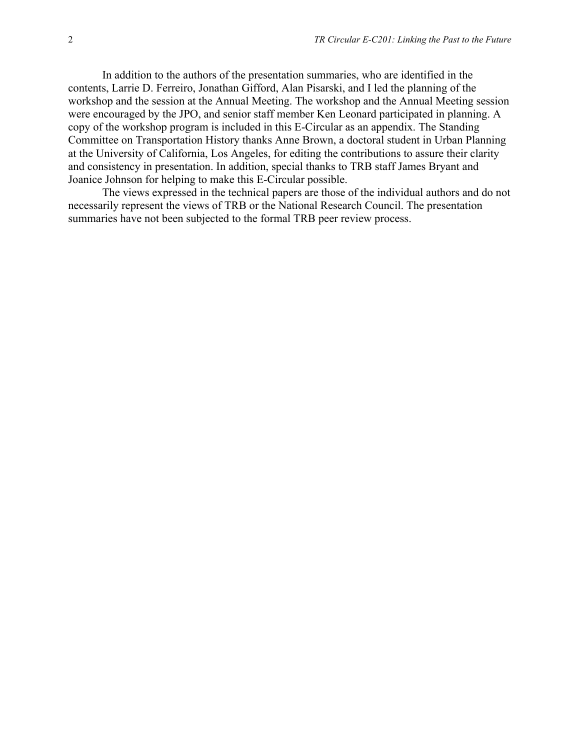In addition to the authors of the presentation summaries, who are identified in the contents, Larrie D. Ferreiro, Jonathan Gifford, Alan Pisarski, and I led the planning of the workshop and the session at the Annual Meeting. The workshop and the Annual Meeting session were encouraged by the JPO, and senior staff member Ken Leonard participated in planning. A copy of the workshop program is included in this E-Circular as an appendix. The Standing Committee on Transportation History thanks Anne Brown, a doctoral student in Urban Planning at the University of California, Los Angeles, for editing the contributions to assure their clarity and consistency in presentation. In addition, special thanks to TRB staff James Bryant and Joanice Johnson for helping to make this E-Circular possible.

The views expressed in the technical papers are those of the individual authors and do not necessarily represent the views of TRB or the National Research Council. The presentation summaries have not been subjected to the formal TRB peer review process.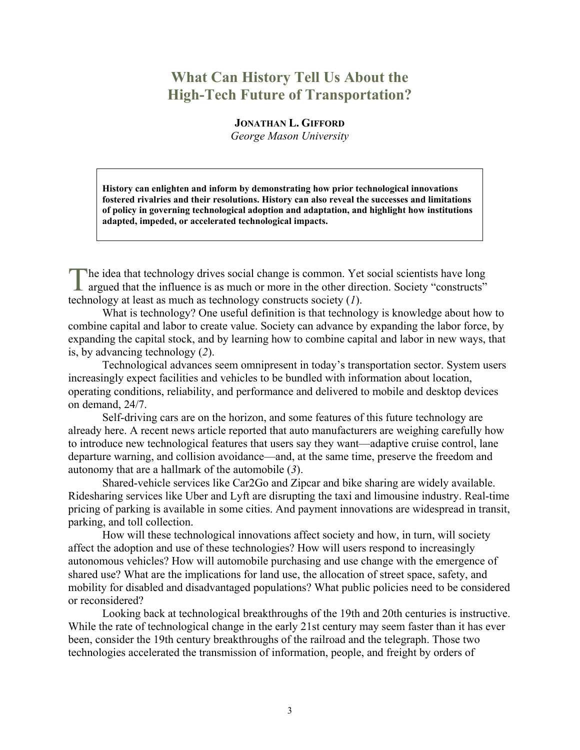## <span id="page-8-0"></span>**What Can History Tell Us About the High-Tech Future of Transportation?**

#### **JONATHAN L. GIFFORD**

*George Mason University* 

**History can enlighten and inform by demonstrating how prior technological innovations fostered rivalries and their resolutions. History can also reveal the successes and limitations of policy in governing technological adoption and adaptation, and highlight how institutions adapted, impeded, or accelerated technological impacts.** 

The idea that technology drives social change is common. Yet social scientists have long<br>argued that the influence is as much or more in the other direction. Society "constructs" argued that the influence is as much or more in the other direction. Society "constructs" technology at least as much as technology constructs society (*1*).

What is technology? One useful definition is that technology is knowledge about how to combine capital and labor to create value. Society can advance by expanding the labor force, by expanding the capital stock, and by learning how to combine capital and labor in new ways, that is, by advancing technology (*2*).

Technological advances seem omnipresent in today's transportation sector. System users increasingly expect facilities and vehicles to be bundled with information about location, operating conditions, reliability, and performance and delivered to mobile and desktop devices on demand, 24/7.

Self-driving cars are on the horizon, and some features of this future technology are already here. A recent news article reported that auto manufacturers are weighing carefully how to introduce new technological features that users say they want—adaptive cruise control, lane departure warning, and collision avoidance—and, at the same time, preserve the freedom and autonomy that are a hallmark of the automobile (*3*).

Shared-vehicle services like Car2Go and Zipcar and bike sharing are widely available. Ridesharing services like Uber and Lyft are disrupting the taxi and limousine industry. Real-time pricing of parking is available in some cities. And payment innovations are widespread in transit, parking, and toll collection.

How will these technological innovations affect society and how, in turn, will society affect the adoption and use of these technologies? How will users respond to increasingly autonomous vehicles? How will automobile purchasing and use change with the emergence of shared use? What are the implications for land use, the allocation of street space, safety, and mobility for disabled and disadvantaged populations? What public policies need to be considered or reconsidered?

Looking back at technological breakthroughs of the 19th and 20th centuries is instructive. While the rate of technological change in the early 21st century may seem faster than it has ever been, consider the 19th century breakthroughs of the railroad and the telegraph. Those two technologies accelerated the transmission of information, people, and freight by orders of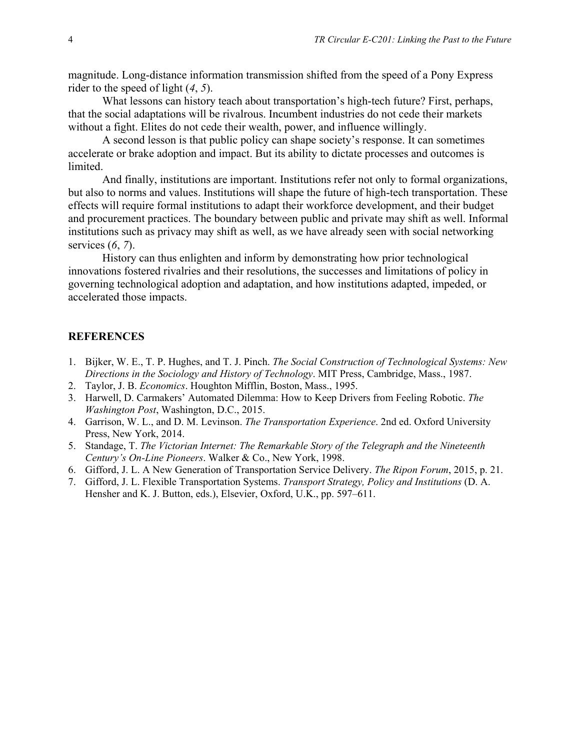magnitude. Long-distance information transmission shifted from the speed of a Pony Express rider to the speed of light (*4*, *5*).

What lessons can history teach about transportation's high-tech future? First, perhaps, that the social adaptations will be rivalrous. Incumbent industries do not cede their markets without a fight. Elites do not cede their wealth, power, and influence willingly.

A second lesson is that public policy can shape society's response. It can sometimes accelerate or brake adoption and impact. But its ability to dictate processes and outcomes is limited.

And finally, institutions are important. Institutions refer not only to formal organizations, but also to norms and values. Institutions will shape the future of high-tech transportation. These effects will require formal institutions to adapt their workforce development, and their budget and procurement practices. The boundary between public and private may shift as well. Informal institutions such as privacy may shift as well, as we have already seen with social networking services (*6*, *7*).

History can thus enlighten and inform by demonstrating how prior technological innovations fostered rivalries and their resolutions, the successes and limitations of policy in governing technological adoption and adaptation, and how institutions adapted, impeded, or accelerated those impacts.

#### **REFERENCES**

- 1. Bijker, W. E., T. P. Hughes, and T. J. Pinch. *The Social Construction of Technological Systems: New Directions in the Sociology and History of Technology*. MIT Press, Cambridge, Mass., 1987.
- 2. Taylor, J. B. *Economics*. Houghton Mifflin, Boston, Mass., 1995.
- 3. Harwell, D. Carmakers' Automated Dilemma: How to Keep Drivers from Feeling Robotic. *The Washington Post*, Washington, D.C., 2015.
- 4. Garrison, W. L., and D. M. Levinson. *The Transportation Experience*. 2nd ed. Oxford University Press, New York, 2014.
- 5. Standage, T. *The Victorian Internet: The Remarkable Story of the Telegraph and the Nineteenth Century's On-Line Pioneers*. Walker & Co., New York, 1998.
- 6. Gifford, J. L. A New Generation of Transportation Service Delivery. *The Ripon Forum*, 2015, p. 21.
- 7. Gifford, J. L. Flexible Transportation Systems. *Transport Strategy, Policy and Institutions* (D. A. Hensher and K. J. Button, eds.), Elsevier, Oxford, U.K., pp. 597–611.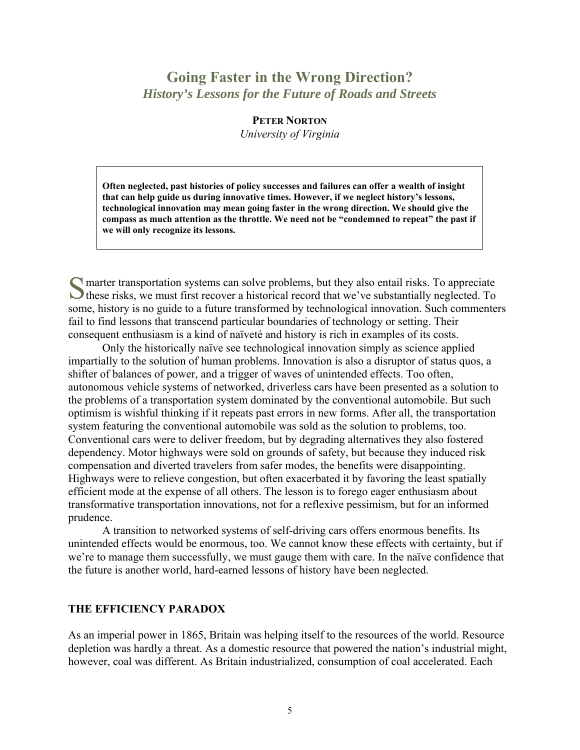#### <span id="page-10-0"></span>**Going Faster in the Wrong Direction?**  *History's Lessons for the Future of Roads and Streets*

#### **PETER NORTON**

*University of Virginia* 

**Often neglected, past histories of policy successes and failures can offer a wealth of insight that can help guide us during innovative times. However, if we neglect history's lessons, technological innovation may mean going faster in the wrong direction. We should give the compass as much attention as the throttle. We need not be "condemned to repeat" the past if we will only recognize its lessons.** 

marter transportation systems can solve problems, but they also entail risks. To appreciate S marter transportation systems can solve problems, but they also entail risks. To appreciate<br>
these risks, we must first recover a historical record that we've substantially neglected. To some, history is no guide to a future transformed by technological innovation. Such commenters fail to find lessons that transcend particular boundaries of technology or setting. Their consequent enthusiasm is a kind of naïveté and history is rich in examples of its costs.

Only the historically naïve see technological innovation simply as science applied impartially to the solution of human problems. Innovation is also a disruptor of status quos, a shifter of balances of power, and a trigger of waves of unintended effects. Too often, autonomous vehicle systems of networked, driverless cars have been presented as a solution to the problems of a transportation system dominated by the conventional automobile. But such optimism is wishful thinking if it repeats past errors in new forms. After all, the transportation system featuring the conventional automobile was sold as the solution to problems, too. Conventional cars were to deliver freedom, but by degrading alternatives they also fostered dependency. Motor highways were sold on grounds of safety, but because they induced risk compensation and diverted travelers from safer modes, the benefits were disappointing. Highways were to relieve congestion, but often exacerbated it by favoring the least spatially efficient mode at the expense of all others. The lesson is to forego eager enthusiasm about transformative transportation innovations, not for a reflexive pessimism, but for an informed prudence.

A transition to networked systems of self-driving cars offers enormous benefits. Its unintended effects would be enormous, too. We cannot know these effects with certainty, but if we're to manage them successfully, we must gauge them with care. In the naïve confidence that the future is another world, hard-earned lessons of history have been neglected.

#### **THE EFFICIENCY PARADOX**

As an imperial power in 1865, Britain was helping itself to the resources of the world. Resource depletion was hardly a threat. As a domestic resource that powered the nation's industrial might, however, coal was different. As Britain industrialized, consumption of coal accelerated. Each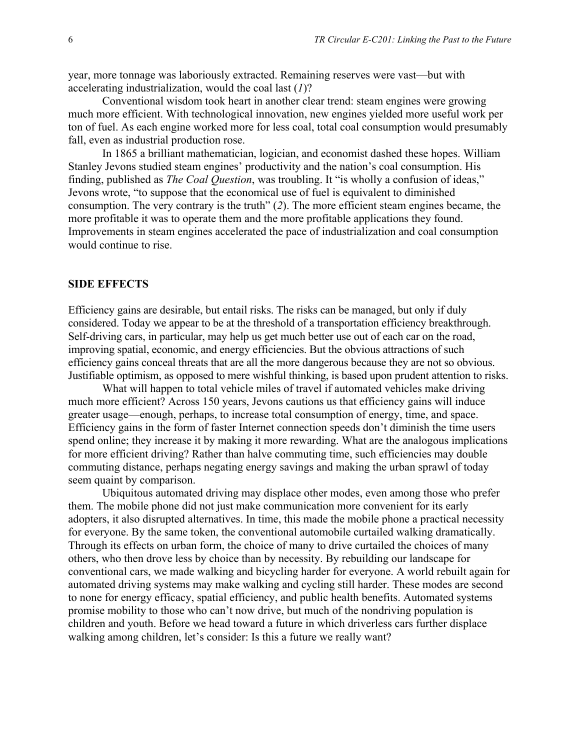year, more tonnage was laboriously extracted. Remaining reserves were vast—but with accelerating industrialization, would the coal last (*1*)?

Conventional wisdom took heart in another clear trend: steam engines were growing much more efficient. With technological innovation, new engines yielded more useful work per ton of fuel. As each engine worked more for less coal, total coal consumption would presumably fall, even as industrial production rose.

In 1865 a brilliant mathematician, logician, and economist dashed these hopes. William Stanley Jevons studied steam engines' productivity and the nation's coal consumption. His finding, published as *The Coal Question*, was troubling. It "is wholly a confusion of ideas," Jevons wrote, "to suppose that the economical use of fuel is equivalent to diminished consumption. The very contrary is the truth" (*2*). The more efficient steam engines became, the more profitable it was to operate them and the more profitable applications they found. Improvements in steam engines accelerated the pace of industrialization and coal consumption would continue to rise.

#### **SIDE EFFECTS**

Efficiency gains are desirable, but entail risks. The risks can be managed, but only if duly considered. Today we appear to be at the threshold of a transportation efficiency breakthrough. Self-driving cars, in particular, may help us get much better use out of each car on the road, improving spatial, economic, and energy efficiencies. But the obvious attractions of such efficiency gains conceal threats that are all the more dangerous because they are not so obvious. Justifiable optimism, as opposed to mere wishful thinking, is based upon prudent attention to risks.

What will happen to total vehicle miles of travel if automated vehicles make driving much more efficient? Across 150 years, Jevons cautions us that efficiency gains will induce greater usage—enough, perhaps, to increase total consumption of energy, time, and space. Efficiency gains in the form of faster Internet connection speeds don't diminish the time users spend online; they increase it by making it more rewarding. What are the analogous implications for more efficient driving? Rather than halve commuting time, such efficiencies may double commuting distance, perhaps negating energy savings and making the urban sprawl of today seem quaint by comparison.

Ubiquitous automated driving may displace other modes, even among those who prefer them. The mobile phone did not just make communication more convenient for its early adopters, it also disrupted alternatives. In time, this made the mobile phone a practical necessity for everyone. By the same token, the conventional automobile curtailed walking dramatically. Through its effects on urban form, the choice of many to drive curtailed the choices of many others, who then drove less by choice than by necessity. By rebuilding our landscape for conventional cars, we made walking and bicycling harder for everyone. A world rebuilt again for automated driving systems may make walking and cycling still harder. These modes are second to none for energy efficacy, spatial efficiency, and public health benefits. Automated systems promise mobility to those who can't now drive, but much of the nondriving population is children and youth. Before we head toward a future in which driverless cars further displace walking among children, let's consider: Is this a future we really want?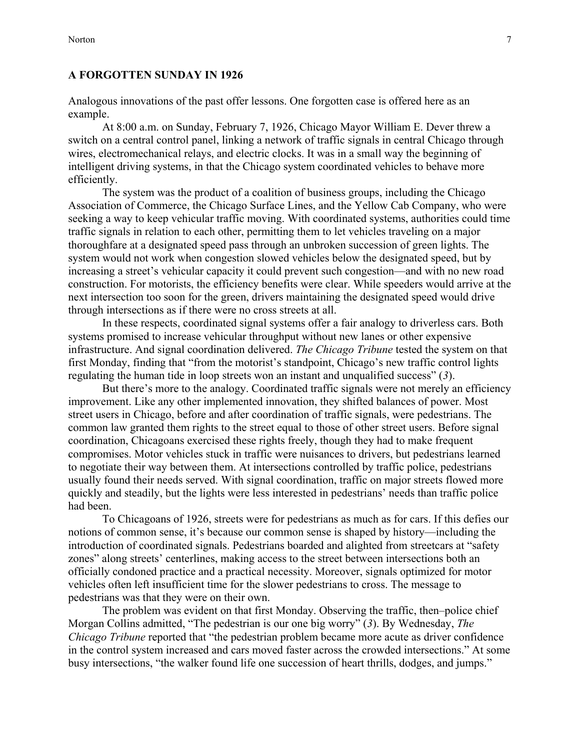#### **A FORGOTTEN SUNDAY IN 1926**

Analogous innovations of the past offer lessons. One forgotten case is offered here as an example.

At 8:00 a.m. on Sunday, February 7, 1926, Chicago Mayor William E. Dever threw a switch on a central control panel, linking a network of traffic signals in central Chicago through wires, electromechanical relays, and electric clocks. It was in a small way the beginning of intelligent driving systems, in that the Chicago system coordinated vehicles to behave more efficiently.

The system was the product of a coalition of business groups, including the Chicago Association of Commerce, the Chicago Surface Lines, and the Yellow Cab Company, who were seeking a way to keep vehicular traffic moving. With coordinated systems, authorities could time traffic signals in relation to each other, permitting them to let vehicles traveling on a major thoroughfare at a designated speed pass through an unbroken succession of green lights. The system would not work when congestion slowed vehicles below the designated speed, but by increasing a street's vehicular capacity it could prevent such congestion—and with no new road construction. For motorists, the efficiency benefits were clear. While speeders would arrive at the next intersection too soon for the green, drivers maintaining the designated speed would drive through intersections as if there were no cross streets at all.

In these respects, coordinated signal systems offer a fair analogy to driverless cars. Both systems promised to increase vehicular throughput without new lanes or other expensive infrastructure. And signal coordination delivered. *The Chicago Tribune* tested the system on that first Monday, finding that "from the motorist's standpoint, Chicago's new traffic control lights regulating the human tide in loop streets won an instant and unqualified success" (*3*).

But there's more to the analogy. Coordinated traffic signals were not merely an efficiency improvement. Like any other implemented innovation, they shifted balances of power. Most street users in Chicago, before and after coordination of traffic signals, were pedestrians. The common law granted them rights to the street equal to those of other street users. Before signal coordination, Chicagoans exercised these rights freely, though they had to make frequent compromises. Motor vehicles stuck in traffic were nuisances to drivers, but pedestrians learned to negotiate their way between them. At intersections controlled by traffic police, pedestrians usually found their needs served. With signal coordination, traffic on major streets flowed more quickly and steadily, but the lights were less interested in pedestrians' needs than traffic police had been.

To Chicagoans of 1926, streets were for pedestrians as much as for cars. If this defies our notions of common sense, it's because our common sense is shaped by history—including the introduction of coordinated signals. Pedestrians boarded and alighted from streetcars at "safety zones" along streets' centerlines, making access to the street between intersections both an officially condoned practice and a practical necessity. Moreover, signals optimized for motor vehicles often left insufficient time for the slower pedestrians to cross. The message to pedestrians was that they were on their own.

The problem was evident on that first Monday. Observing the traffic, then–police chief Morgan Collins admitted, "The pedestrian is our one big worry" (*3*). By Wednesday, *The Chicago Tribune* reported that "the pedestrian problem became more acute as driver confidence in the control system increased and cars moved faster across the crowded intersections." At some busy intersections, "the walker found life one succession of heart thrills, dodges, and jumps."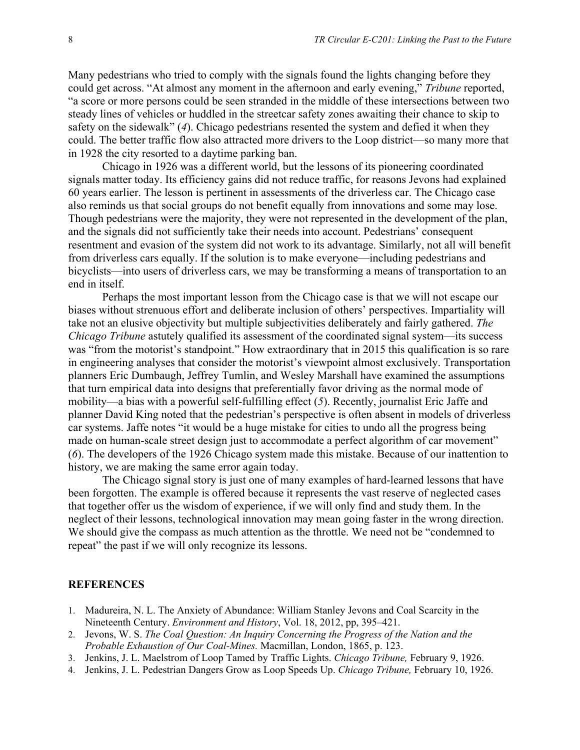Many pedestrians who tried to comply with the signals found the lights changing before they could get across. "At almost any moment in the afternoon and early evening," *Tribune* reported, "a score or more persons could be seen stranded in the middle of these intersections between two steady lines of vehicles or huddled in the streetcar safety zones awaiting their chance to skip to safety on the sidewalk" (*4*). Chicago pedestrians resented the system and defied it when they could. The better traffic flow also attracted more drivers to the Loop district—so many more that in 1928 the city resorted to a daytime parking ban.

Chicago in 1926 was a different world, but the lessons of its pioneering coordinated signals matter today. Its efficiency gains did not reduce traffic, for reasons Jevons had explained 60 years earlier. The lesson is pertinent in assessments of the driverless car. The Chicago case also reminds us that social groups do not benefit equally from innovations and some may lose. Though pedestrians were the majority, they were not represented in the development of the plan, and the signals did not sufficiently take their needs into account. Pedestrians' consequent resentment and evasion of the system did not work to its advantage. Similarly, not all will benefit from driverless cars equally. If the solution is to make everyone—including pedestrians and bicyclists—into users of driverless cars, we may be transforming a means of transportation to an end in itself.

Perhaps the most important lesson from the Chicago case is that we will not escape our biases without strenuous effort and deliberate inclusion of others' perspectives. Impartiality will take not an elusive objectivity but multiple subjectivities deliberately and fairly gathered. *The Chicago Tribune* astutely qualified its assessment of the coordinated signal system—its success was "from the motorist's standpoint." How extraordinary that in 2015 this qualification is so rare in engineering analyses that consider the motorist's viewpoint almost exclusively. Transportation planners Eric Dumbaugh, Jeffrey Tumlin, and Wesley Marshall have examined the assumptions that turn empirical data into designs that preferentially favor driving as the normal mode of mobility—a bias with a powerful self-fulfilling effect (*5*). Recently, journalist Eric Jaffe and planner David King noted that the pedestrian's perspective is often absent in models of driverless car systems. Jaffe notes "it would be a huge mistake for cities to undo all the progress being made on human-scale street design just to accommodate a perfect algorithm of car movement" (*6*). The developers of the 1926 Chicago system made this mistake. Because of our inattention to history, we are making the same error again today.

The Chicago signal story is just one of many examples of hard-learned lessons that have been forgotten. The example is offered because it represents the vast reserve of neglected cases that together offer us the wisdom of experience, if we will only find and study them. In the neglect of their lessons, technological innovation may mean going faster in the wrong direction. We should give the compass as much attention as the throttle. We need not be "condemned to repeat" the past if we will only recognize its lessons.

#### **REFERENCES**

- 1. Madureira, N. L. The Anxiety of Abundance: William Stanley Jevons and Coal Scarcity in the Nineteenth Century. *Environment and History*, Vol. 18, 2012, pp, 395–421.
- 2. Jevons, W. S. *The Coal Question: An Inquiry Concerning the Progress of the Nation and the Probable Exhaustion of Our Coal-Mines.* Macmillan, London, 1865, p. 123.
- 3. Jenkins, J. L. Maelstrom of Loop Tamed by Traffic Lights. *Chicago Tribune,* February 9, 1926.
- 4. Jenkins, J. L. Pedestrian Dangers Grow as Loop Speeds Up. *Chicago Tribune,* February 10, 1926.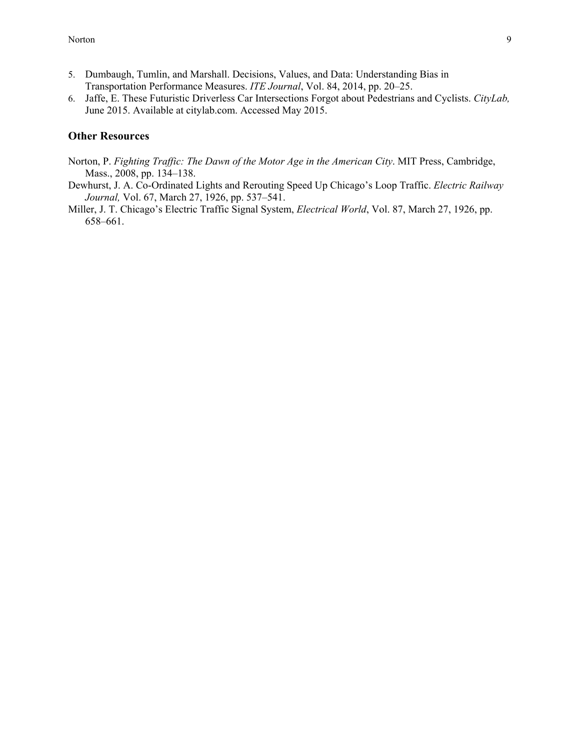- 5. Dumbaugh, Tumlin, and Marshall. Decisions, Values, and Data: Understanding Bias in Transportation Performance Measures. *ITE Journal*, Vol. 84, 2014, pp. 20–25.
- 6. Jaffe, E. These Futuristic Driverless Car Intersections Forgot about Pedestrians and Cyclists. *CityLab,* June 2015. Available at citylab.com. Accessed May 2015.

#### **Other Resources**

- Norton, P. *Fighting Traffic: The Dawn of the Motor Age in the American City*. MIT Press, Cambridge, Mass., 2008, pp. 134–138.
- Dewhurst, J. A. Co-Ordinated Lights and Rerouting Speed Up Chicago's Loop Traffic. *Electric Railway Journal,* Vol. 67, March 27, 1926, pp. 537–541.
- Miller, J. T. Chicago's Electric Traffic Signal System, *Electrical World*, Vol. 87, March 27, 1926, pp. 658–661.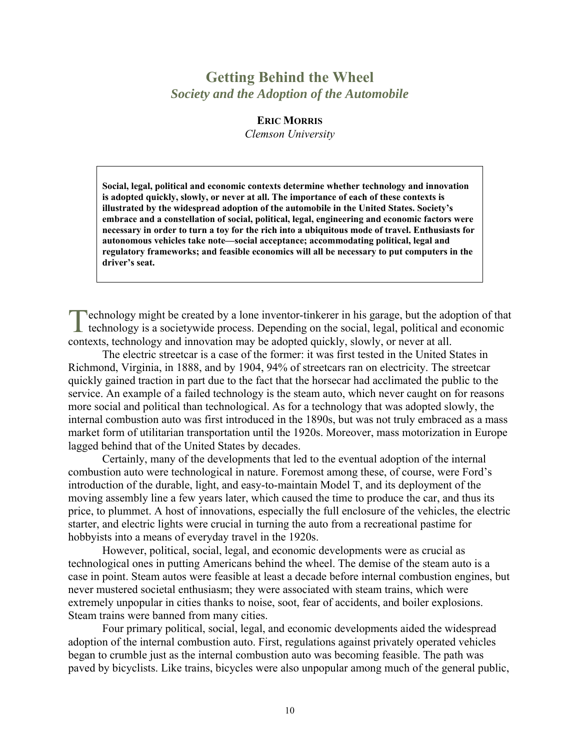#### <span id="page-15-0"></span>**Getting Behind the Wheel**  *Society and the Adoption of the Automobile*

#### **ERIC MORRIS**

*Clemson University* 

**Social, legal, political and economic contexts determine whether technology and innovation is adopted quickly, slowly, or never at all. The importance of each of these contexts is illustrated by the widespread adoption of the automobile in the United States. Society's embrace and a constellation of social, political, legal, engineering and economic factors were necessary in order to turn a toy for the rich into a ubiquitous mode of travel. Enthusiasts for autonomous vehicles take note—social acceptance; accommodating political, legal and regulatory frameworks; and feasible economics will all be necessary to put computers in the driver's seat.** 

Technology might be created by a lone inventor-tinkerer in his garage, but the adoption of that technology is a societywide process. Depending on the social, legal, political and economic technology is a societywide process. Depending on the social, legal, political and economic contexts, technology and innovation may be adopted quickly, slowly, or never at all.

The electric streetcar is a case of the former: it was first tested in the United States in Richmond, Virginia, in 1888, and by 1904, 94% of streetcars ran on electricity. The streetcar quickly gained traction in part due to the fact that the horsecar had acclimated the public to the service. An example of a failed technology is the steam auto, which never caught on for reasons more social and political than technological. As for a technology that was adopted slowly, the internal combustion auto was first introduced in the 1890s, but was not truly embraced as a mass market form of utilitarian transportation until the 1920s. Moreover, mass motorization in Europe lagged behind that of the United States by decades.

Certainly, many of the developments that led to the eventual adoption of the internal combustion auto were technological in nature. Foremost among these, of course, were Ford's introduction of the durable, light, and easy-to-maintain Model T, and its deployment of the moving assembly line a few years later, which caused the time to produce the car, and thus its price, to plummet. A host of innovations, especially the full enclosure of the vehicles, the electric starter, and electric lights were crucial in turning the auto from a recreational pastime for hobbyists into a means of everyday travel in the 1920s.

However, political, social, legal, and economic developments were as crucial as technological ones in putting Americans behind the wheel. The demise of the steam auto is a case in point. Steam autos were feasible at least a decade before internal combustion engines, but never mustered societal enthusiasm; they were associated with steam trains, which were extremely unpopular in cities thanks to noise, soot, fear of accidents, and boiler explosions. Steam trains were banned from many cities.

Four primary political, social, legal, and economic developments aided the widespread adoption of the internal combustion auto. First, regulations against privately operated vehicles began to crumble just as the internal combustion auto was becoming feasible. The path was paved by bicyclists. Like trains, bicycles were also unpopular among much of the general public,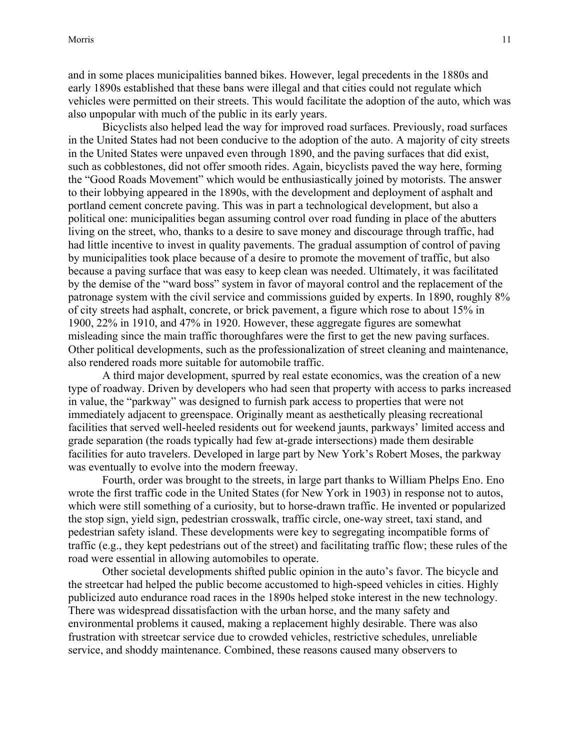and in some places municipalities banned bikes. However, legal precedents in the 1880s and early 1890s established that these bans were illegal and that cities could not regulate which vehicles were permitted on their streets. This would facilitate the adoption of the auto, which was also unpopular with much of the public in its early years.

Bicyclists also helped lead the way for improved road surfaces. Previously, road surfaces in the United States had not been conducive to the adoption of the auto. A majority of city streets in the United States were unpaved even through 1890, and the paving surfaces that did exist, such as cobblestones, did not offer smooth rides. Again, bicyclists paved the way here, forming the "Good Roads Movement" which would be enthusiastically joined by motorists. The answer to their lobbying appeared in the 1890s, with the development and deployment of asphalt and portland cement concrete paving. This was in part a technological development, but also a political one: municipalities began assuming control over road funding in place of the abutters living on the street, who, thanks to a desire to save money and discourage through traffic, had had little incentive to invest in quality pavements. The gradual assumption of control of paving by municipalities took place because of a desire to promote the movement of traffic, but also because a paving surface that was easy to keep clean was needed. Ultimately, it was facilitated by the demise of the "ward boss" system in favor of mayoral control and the replacement of the patronage system with the civil service and commissions guided by experts. In 1890, roughly 8% of city streets had asphalt, concrete, or brick pavement, a figure which rose to about 15% in 1900, 22% in 1910, and 47% in 1920. However, these aggregate figures are somewhat misleading since the main traffic thoroughfares were the first to get the new paving surfaces. Other political developments, such as the professionalization of street cleaning and maintenance, also rendered roads more suitable for automobile traffic.

A third major development, spurred by real estate economics, was the creation of a new type of roadway. Driven by developers who had seen that property with access to parks increased in value, the "parkway" was designed to furnish park access to properties that were not immediately adjacent to greenspace. Originally meant as aesthetically pleasing recreational facilities that served well-heeled residents out for weekend jaunts, parkways' limited access and grade separation (the roads typically had few at-grade intersections) made them desirable facilities for auto travelers. Developed in large part by New York's Robert Moses, the parkway was eventually to evolve into the modern freeway.

Fourth, order was brought to the streets, in large part thanks to William Phelps Eno. Eno wrote the first traffic code in the United States (for New York in 1903) in response not to autos, which were still something of a curiosity, but to horse-drawn traffic. He invented or popularized the stop sign, yield sign, pedestrian crosswalk, traffic circle, one-way street, taxi stand, and pedestrian safety island. These developments were key to segregating incompatible forms of traffic (e.g., they kept pedestrians out of the street) and facilitating traffic flow; these rules of the road were essential in allowing automobiles to operate.

Other societal developments shifted public opinion in the auto's favor. The bicycle and the streetcar had helped the public become accustomed to high-speed vehicles in cities. Highly publicized auto endurance road races in the 1890s helped stoke interest in the new technology. There was widespread dissatisfaction with the urban horse, and the many safety and environmental problems it caused, making a replacement highly desirable. There was also frustration with streetcar service due to crowded vehicles, restrictive schedules, unreliable service, and shoddy maintenance. Combined, these reasons caused many observers to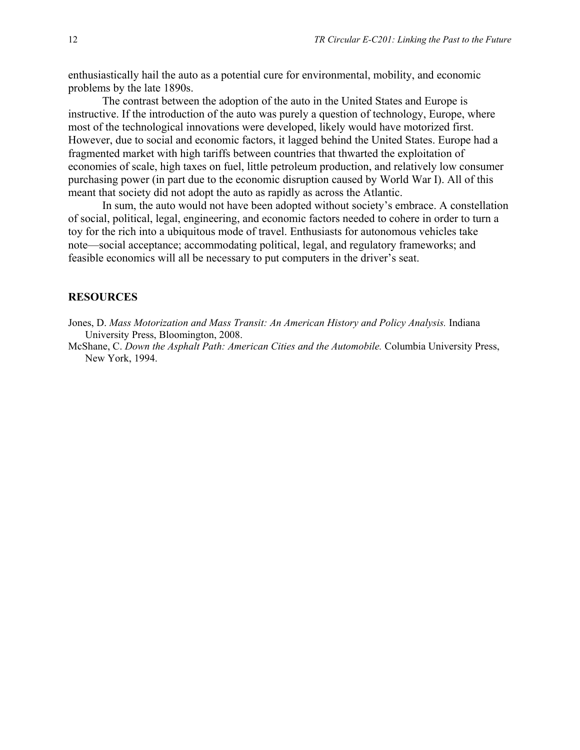enthusiastically hail the auto as a potential cure for environmental, mobility, and economic problems by the late 1890s.

The contrast between the adoption of the auto in the United States and Europe is instructive. If the introduction of the auto was purely a question of technology, Europe, where most of the technological innovations were developed, likely would have motorized first. However, due to social and economic factors, it lagged behind the United States. Europe had a fragmented market with high tariffs between countries that thwarted the exploitation of economies of scale, high taxes on fuel, little petroleum production, and relatively low consumer purchasing power (in part due to the economic disruption caused by World War I). All of this meant that society did not adopt the auto as rapidly as across the Atlantic.

In sum, the auto would not have been adopted without society's embrace. A constellation of social, political, legal, engineering, and economic factors needed to cohere in order to turn a toy for the rich into a ubiquitous mode of travel. Enthusiasts for autonomous vehicles take note—social acceptance; accommodating political, legal, and regulatory frameworks; and feasible economics will all be necessary to put computers in the driver's seat.

#### **RESOURCES**

Jones, D. *Mass Motorization and Mass Transit: An American History and Policy Analysis.* Indiana University Press, Bloomington, 2008.

McShane, C. *Down the Asphalt Path: American Cities and the Automobile.* Columbia University Press, New York, 1994.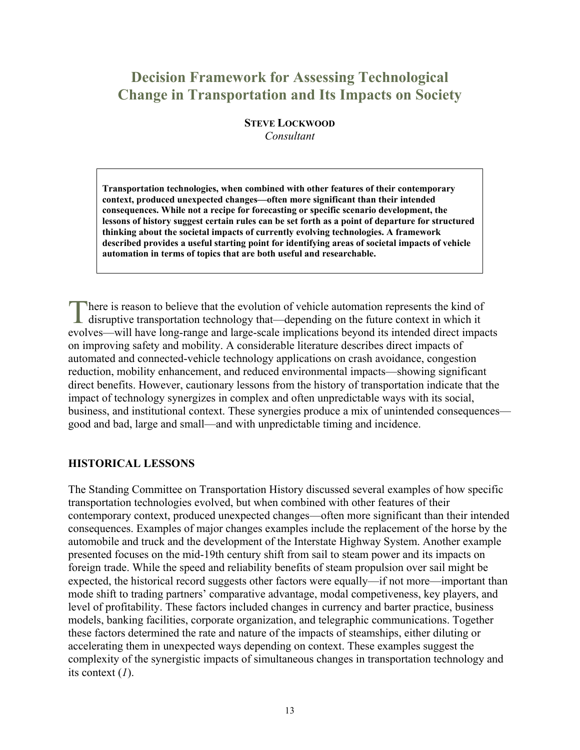# <span id="page-18-0"></span>**Decision Framework for Assessing Technological Change in Transportation and Its Impacts on Society**

#### **STEVE LOCKWOOD** *Consultant*

**Transportation technologies, when combined with other features of their contemporary context, produced unexpected changes—often more significant than their intended consequences. While not a recipe for forecasting or specific scenario development, the lessons of history suggest certain rules can be set forth as a point of departure for structured thinking about the societal impacts of currently evolving technologies. A framework described provides a useful starting point for identifying areas of societal impacts of vehicle automation in terms of topics that are both useful and researchable.** 

here is reason to believe that the evolution of vehicle automation represents the kind of There is reason to believe that the evolution of vehicle automation represents the kind of disruptive transportation technology that—depending on the future context in which it evolves—will have long-range and large-scale implications beyond its intended direct impacts on improving safety and mobility. A considerable literature describes direct impacts of automated and connected-vehicle technology applications on crash avoidance, congestion reduction, mobility enhancement, and reduced environmental impacts—showing significant direct benefits. However, cautionary lessons from the history of transportation indicate that the impact of technology synergizes in complex and often unpredictable ways with its social, business, and institutional context. These synergies produce a mix of unintended consequences good and bad, large and small—and with unpredictable timing and incidence.

#### **HISTORICAL LESSONS**

The Standing Committee on Transportation History discussed several examples of how specific transportation technologies evolved, but when combined with other features of their contemporary context, produced unexpected changes—often more significant than their intended consequences. Examples of major changes examples include the replacement of the horse by the automobile and truck and the development of the Interstate Highway System. Another example presented focuses on the mid-19th century shift from sail to steam power and its impacts on foreign trade. While the speed and reliability benefits of steam propulsion over sail might be expected, the historical record suggests other factors were equally—if not more—important than mode shift to trading partners' comparative advantage, modal competiveness, key players, and level of profitability. These factors included changes in currency and barter practice, business models, banking facilities, corporate organization, and telegraphic communications. Together these factors determined the rate and nature of the impacts of steamships, either diluting or accelerating them in unexpected ways depending on context. These examples suggest the complexity of the synergistic impacts of simultaneous changes in transportation technology and its context (*1*).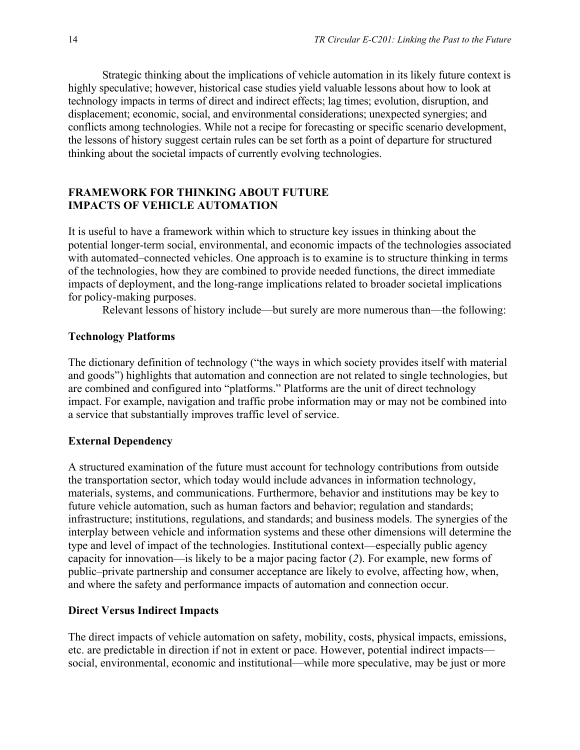Strategic thinking about the implications of vehicle automation in its likely future context is highly speculative; however, historical case studies yield valuable lessons about how to look at technology impacts in terms of direct and indirect effects; lag times; evolution, disruption, and displacement; economic, social, and environmental considerations; unexpected synergies; and conflicts among technologies. While not a recipe for forecasting or specific scenario development, the lessons of history suggest certain rules can be set forth as a point of departure for structured thinking about the societal impacts of currently evolving technologies.

#### **FRAMEWORK FOR THINKING ABOUT FUTURE IMPACTS OF VEHICLE AUTOMATION**

It is useful to have a framework within which to structure key issues in thinking about the potential longer-term social, environmental, and economic impacts of the technologies associated with automated–connected vehicles. One approach is to examine is to structure thinking in terms of the technologies, how they are combined to provide needed functions, the direct immediate impacts of deployment, and the long-range implications related to broader societal implications for policy-making purposes.

Relevant lessons of history include—but surely are more numerous than—the following:

#### **Technology Platforms**

The dictionary definition of technology ("the ways in which society provides itself with material and goods") highlights that automation and connection are not related to single technologies, but are combined and configured into "platforms." Platforms are the unit of direct technology impact. For example, navigation and traffic probe information may or may not be combined into a service that substantially improves traffic level of service.

#### **External Dependency**

A structured examination of the future must account for technology contributions from outside the transportation sector, which today would include advances in information technology, materials, systems, and communications. Furthermore, behavior and institutions may be key to future vehicle automation, such as human factors and behavior; regulation and standards; infrastructure; institutions, regulations, and standards; and business models. The synergies of the interplay between vehicle and information systems and these other dimensions will determine the type and level of impact of the technologies. Institutional context—especially public agency capacity for innovation—is likely to be a major pacing factor (*2*). For example, new forms of public–private partnership and consumer acceptance are likely to evolve, affecting how, when, and where the safety and performance impacts of automation and connection occur.

#### **Direct Versus Indirect Impacts**

The direct impacts of vehicle automation on safety, mobility, costs, physical impacts, emissions, etc. are predictable in direction if not in extent or pace. However, potential indirect impacts social, environmental, economic and institutional—while more speculative, may be just or more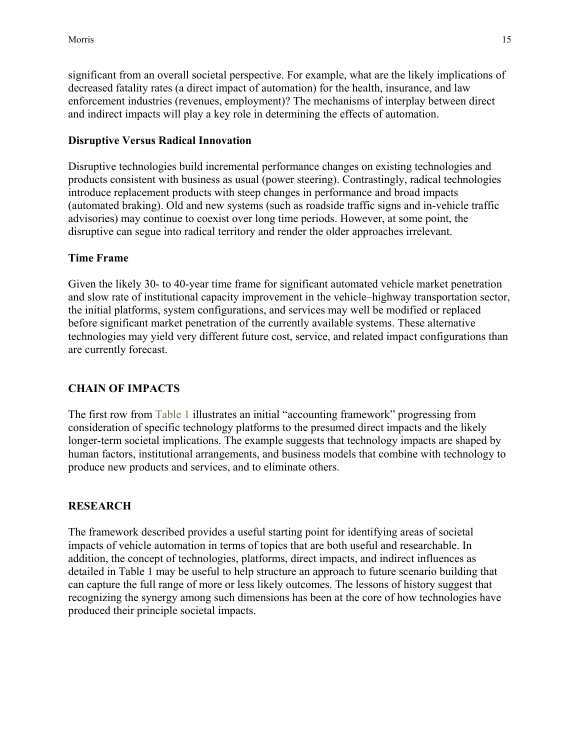significant from an overall societal perspective. For example, what are the likely implications of decreased fatality rates (a direct impact of automation) for the health, insurance, and law enforcement industries (revenues, employment)? The mechanisms of interplay between direct and indirect impacts will play a key role in determining the effects of automation.

#### **Disruptive Versus Radical Innovation**

Disruptive technologies build incremental performance changes on existing technologies and products consistent with business as usual (power steering). Contrastingly, radical technologies introduce replacement products with steep changes in performance and broad impacts (automated braking). Old and new systems (such as roadside traffic signs and in-vehicle traffic advisories) may continue to coexist over long time periods. However, at some point, the disruptive can segue into radical territory and render the older approaches irrelevant.

#### **Time Frame**

Given the likely 30- to 40-year time frame for significant automated vehicle market penetration and slow rate of institutional capacity improvement in the vehicle–highway transportation sector, the initial platforms, system configurations, and services may well be modified or replaced before significant market penetration of the currently available systems. These alternative technologies may yield very different future cost, service, and related impact configurations than are currently forecast.

#### **CHAIN OF IMPACTS**

The first row from [Table 1](#page-21-0) illustrates an initial "accounting framework" progressing from consideration of specific technology platforms to the presumed direct impacts and the likely longer-term societal implications. The example suggests that technology impacts are shaped by human factors, institutional arrangements, and business models that combine with technology to produce new products and services, and to eliminate others.

#### **RESEARCH**

The framework described provides a useful starting point for identifying areas of societal impacts of vehicle automation in terms of topics that are both useful and researchable. In addition, the concept of technologies, platforms, direct impacts, and indirect influences as detailed in Table 1 may be useful to help structure an approach to future scenario building that can capture the full range of more or less likely outcomes. The lessons of history suggest that recognizing the synergy among such dimensions has been at the core of how technologies have produced their principle societal impacts.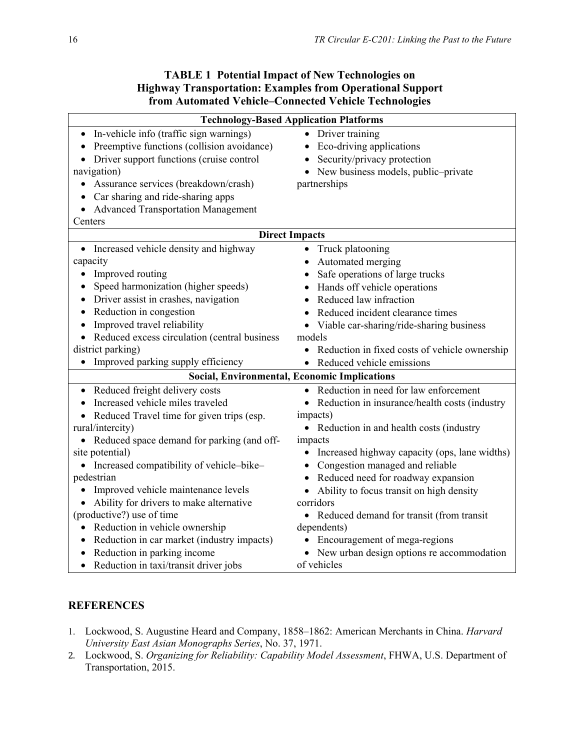#### **TABLE 1 Potential Impact of New Technologies on Highway Transportation: Examples from Operational Support from Automated Vehicle–Connected Vehicle Technologies**

<span id="page-21-0"></span>

| <b>Technology-Based Application Platforms</b>           |                                                            |  |
|---------------------------------------------------------|------------------------------------------------------------|--|
| In-vehicle info (traffic sign warnings)<br>$\bullet$    | Driver training<br>$\bullet$                               |  |
| Preemptive functions (collision avoidance)<br>$\bullet$ | Eco-driving applications                                   |  |
| Driver support functions (cruise control                | Security/privacy protection<br>$\bullet$                   |  |
| navigation)                                             | • New business models, public-private                      |  |
| • Assurance services (breakdown/crash)                  | partnerships                                               |  |
| Car sharing and ride-sharing apps<br>$\bullet$          |                                                            |  |
| • Advanced Transportation Management                    |                                                            |  |
| Centers                                                 |                                                            |  |
| <b>Direct Impacts</b>                                   |                                                            |  |
| Increased vehicle density and highway<br>$\bullet$      | Truck platooning                                           |  |
| capacity                                                | Automated merging                                          |  |
| Improved routing<br>$\bullet$                           | Safe operations of large trucks                            |  |
| Speed harmonization (higher speeds)                     | Hands off vehicle operations                               |  |
| Driver assist in crashes, navigation                    | Reduced law infraction<br>$\bullet$                        |  |
| Reduction in congestion                                 | Reduced incident clearance times                           |  |
| Improved travel reliability<br>$\bullet$                | Viable car-sharing/ride-sharing business                   |  |
| Reduced excess circulation (central business            | models                                                     |  |
| district parking)                                       | Reduction in fixed costs of vehicle ownership              |  |
| Improved parking supply efficiency<br>$\bullet$         | Reduced vehicle emissions<br>$\bullet$                     |  |
| Social, Environmental, Economic Implications            |                                                            |  |
| Reduced freight delivery costs<br>$\bullet$             | Reduction in need for law enforcement                      |  |
| Increased vehicle miles traveled                        | Reduction in insurance/health costs (industry              |  |
| Reduced Travel time for given trips (esp.               | impacts)                                                   |  |
| rural/intercity)                                        | • Reduction in and health costs (industry                  |  |
| • Reduced space demand for parking (and off-            | impacts                                                    |  |
| site potential)                                         | Increased highway capacity (ops, lane widths)<br>$\bullet$ |  |
| Increased compatibility of vehicle-bike-                | Congestion managed and reliable                            |  |
| pedestrian<br>Reduced need for roadway expansion        |                                                            |  |
| Improved vehicle maintenance levels<br>$\bullet$        | Ability to focus transit on high density                   |  |
| Ability for drivers to make alternative                 | corridors                                                  |  |
| (productive?) use of time                               | • Reduced demand for transit (from transit                 |  |
| Reduction in vehicle ownership                          | dependents)                                                |  |
| Reduction in car market (industry impacts)<br>$\bullet$ | Encouragement of mega-regions<br>$\bullet$                 |  |
| Reduction in parking income                             | New urban design options re accommodation                  |  |
| • Reduction in taxi/transit driver jobs                 | of vehicles                                                |  |

#### **REFERENCES**

- 1. Lockwood, S. Augustine Heard and Company, 1858–1862: American Merchants in China. *Harvard University East Asian Monographs Series*, No. 37, 1971.
- 2. Lockwood, S. *Organizing for Reliability: Capability Model Assessment*, FHWA, U.S. Department of Transportation, 2015.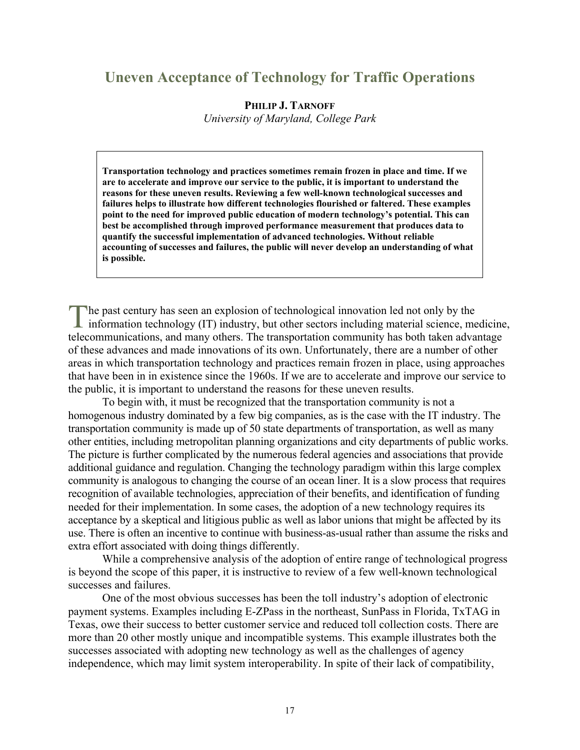#### <span id="page-22-0"></span>**Uneven Acceptance of Technology for Traffic Operations**

**PHILIP J. TARNOFF**

*University of Maryland, College Park* 

**Transportation technology and practices sometimes remain frozen in place and time. If we are to accelerate and improve our service to the public, it is important to understand the reasons for these uneven results. Reviewing a few well-known technological successes and failures helps to illustrate how different technologies flourished or faltered. These examples point to the need for improved public education of modern technology's potential. This can best be accomplished through improved performance measurement that produces data to quantify the successful implementation of advanced technologies. Without reliable accounting of successes and failures, the public will never develop an understanding of what is possible.** 

he past century has seen an explosion of technological innovation led not only by the The past century has seen an explosion of technological innovation led not only by the information technology (IT) industry, but other sectors including material science, medicine, telecommunications, and many others. The transportation community has both taken advantage of these advances and made innovations of its own. Unfortunately, there are a number of other areas in which transportation technology and practices remain frozen in place, using approaches that have been in in existence since the 1960s. If we are to accelerate and improve our service to the public, it is important to understand the reasons for these uneven results.

To begin with, it must be recognized that the transportation community is not a homogenous industry dominated by a few big companies, as is the case with the IT industry. The transportation community is made up of 50 state departments of transportation, as well as many other entities, including metropolitan planning organizations and city departments of public works. The picture is further complicated by the numerous federal agencies and associations that provide additional guidance and regulation. Changing the technology paradigm within this large complex community is analogous to changing the course of an ocean liner. It is a slow process that requires recognition of available technologies, appreciation of their benefits, and identification of funding needed for their implementation. In some cases, the adoption of a new technology requires its acceptance by a skeptical and litigious public as well as labor unions that might be affected by its use. There is often an incentive to continue with business-as-usual rather than assume the risks and extra effort associated with doing things differently.

While a comprehensive analysis of the adoption of entire range of technological progress is beyond the scope of this paper, it is instructive to review of a few well-known technological successes and failures.

One of the most obvious successes has been the toll industry's adoption of electronic payment systems. Examples including E-ZPass in the northeast, SunPass in Florida, TxTAG in Texas, owe their success to better customer service and reduced toll collection costs. There are more than 20 other mostly unique and incompatible systems. This example illustrates both the successes associated with adopting new technology as well as the challenges of agency independence, which may limit system interoperability. In spite of their lack of compatibility,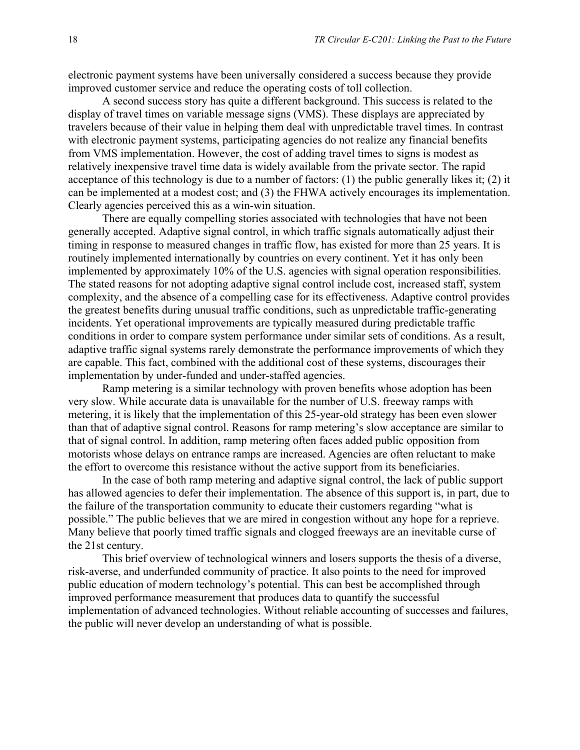electronic payment systems have been universally considered a success because they provide improved customer service and reduce the operating costs of toll collection.

A second success story has quite a different background. This success is related to the display of travel times on variable message signs (VMS). These displays are appreciated by travelers because of their value in helping them deal with unpredictable travel times. In contrast with electronic payment systems, participating agencies do not realize any financial benefits from VMS implementation. However, the cost of adding travel times to signs is modest as relatively inexpensive travel time data is widely available from the private sector. The rapid acceptance of this technology is due to a number of factors: (1) the public generally likes it; (2) it can be implemented at a modest cost; and (3) the FHWA actively encourages its implementation. Clearly agencies perceived this as a win-win situation.

There are equally compelling stories associated with technologies that have not been generally accepted. Adaptive signal control, in which traffic signals automatically adjust their timing in response to measured changes in traffic flow, has existed for more than 25 years. It is routinely implemented internationally by countries on every continent. Yet it has only been implemented by approximately 10% of the U.S. agencies with signal operation responsibilities. The stated reasons for not adopting adaptive signal control include cost, increased staff, system complexity, and the absence of a compelling case for its effectiveness. Adaptive control provides the greatest benefits during unusual traffic conditions, such as unpredictable traffic-generating incidents. Yet operational improvements are typically measured during predictable traffic conditions in order to compare system performance under similar sets of conditions. As a result, adaptive traffic signal systems rarely demonstrate the performance improvements of which they are capable. This fact, combined with the additional cost of these systems, discourages their implementation by under-funded and under-staffed agencies.

Ramp metering is a similar technology with proven benefits whose adoption has been very slow. While accurate data is unavailable for the number of U.S. freeway ramps with metering, it is likely that the implementation of this 25-year-old strategy has been even slower than that of adaptive signal control. Reasons for ramp metering's slow acceptance are similar to that of signal control. In addition, ramp metering often faces added public opposition from motorists whose delays on entrance ramps are increased. Agencies are often reluctant to make the effort to overcome this resistance without the active support from its beneficiaries.

In the case of both ramp metering and adaptive signal control, the lack of public support has allowed agencies to defer their implementation. The absence of this support is, in part, due to the failure of the transportation community to educate their customers regarding "what is possible." The public believes that we are mired in congestion without any hope for a reprieve. Many believe that poorly timed traffic signals and clogged freeways are an inevitable curse of the 21st century.

This brief overview of technological winners and losers supports the thesis of a diverse, risk-averse, and underfunded community of practice. It also points to the need for improved public education of modern technology's potential. This can best be accomplished through improved performance measurement that produces data to quantify the successful implementation of advanced technologies. Without reliable accounting of successes and failures, the public will never develop an understanding of what is possible.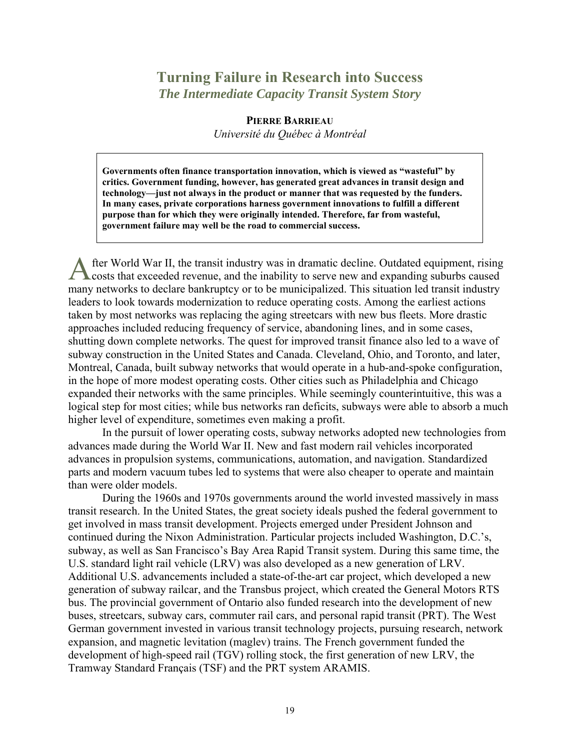#### <span id="page-24-0"></span>**Turning Failure in Research into Success**  *The Intermediate Capacity Transit System Story*

#### **PIERRE BARRIEAU**

*Université du Québec à Montréal* 

**Governments often finance transportation innovation, which is viewed as "wasteful" by critics. Government funding, however, has generated great advances in transit design and technology—just not always in the product or manner that was requested by the funders. In many cases, private corporations harness government innovations to fulfill a different purpose than for which they were originally intended. Therefore, far from wasteful, government failure may well be the road to commercial success.** 

fter World War II, the transit industry was in dramatic decline. Outdated equipment, rising A fter World War II, the transit industry was in dramatic decline. Outdated equipment, rising costs that exceeded revenue, and the inability to serve new and expanding suburbs caused many networks to declare bankruptcy or to be municipalized. This situation led transit industry leaders to look towards modernization to reduce operating costs. Among the earliest actions taken by most networks was replacing the aging streetcars with new bus fleets. More drastic approaches included reducing frequency of service, abandoning lines, and in some cases, shutting down complete networks. The quest for improved transit finance also led to a wave of subway construction in the United States and Canada. Cleveland, Ohio, and Toronto, and later, Montreal, Canada, built subway networks that would operate in a hub-and-spoke configuration, in the hope of more modest operating costs. Other cities such as Philadelphia and Chicago expanded their networks with the same principles. While seemingly counterintuitive, this was a logical step for most cities; while bus networks ran deficits, subways were able to absorb a much higher level of expenditure, sometimes even making a profit.

In the pursuit of lower operating costs, subway networks adopted new technologies from advances made during the World War II. New and fast modern rail vehicles incorporated advances in propulsion systems, communications, automation, and navigation. Standardized parts and modern vacuum tubes led to systems that were also cheaper to operate and maintain than were older models.

During the 1960s and 1970s governments around the world invested massively in mass transit research. In the United States, the great society ideals pushed the federal government to get involved in mass transit development. Projects emerged under President Johnson and continued during the Nixon Administration. Particular projects included Washington, D.C.'s, subway, as well as San Francisco's Bay Area Rapid Transit system. During this same time, the U.S. standard light rail vehicle (LRV) was also developed as a new generation of LRV. Additional U.S. advancements included a state-of-the-art car project, which developed a new generation of subway railcar, and the Transbus project, which created the General Motors RTS bus. The provincial government of Ontario also funded research into the development of new buses, streetcars, subway cars, commuter rail cars, and personal rapid transit (PRT). The West German government invested in various transit technology projects, pursuing research, network expansion, and magnetic levitation (maglev) trains. The French government funded the development of high-speed rail (TGV) rolling stock, the first generation of new LRV, the Tramway Standard Français (TSF) and the PRT system ARAMIS.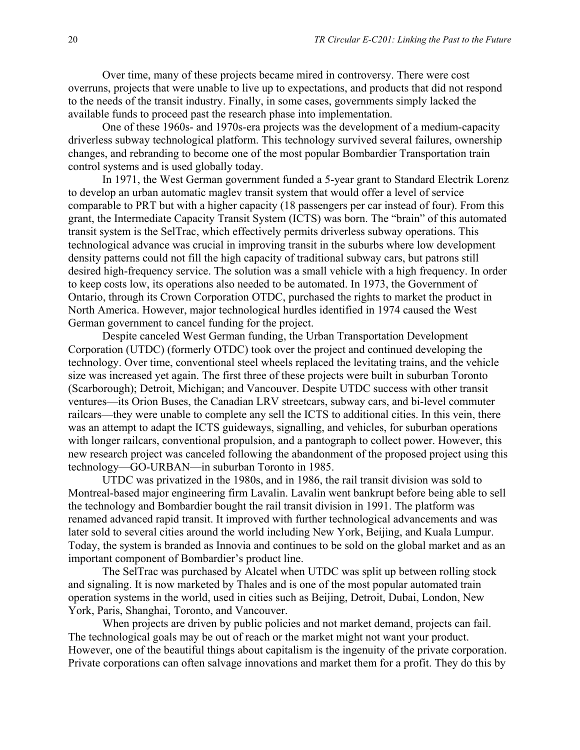Over time, many of these projects became mired in controversy. There were cost overruns, projects that were unable to live up to expectations, and products that did not respond to the needs of the transit industry. Finally, in some cases, governments simply lacked the available funds to proceed past the research phase into implementation.

One of these 1960s- and 1970s-era projects was the development of a medium-capacity driverless subway technological platform. This technology survived several failures, ownership changes, and rebranding to become one of the most popular Bombardier Transportation train control systems and is used globally today.

In 1971, the West German government funded a 5-year grant to Standard Electrik Lorenz to develop an urban automatic maglev transit system that would offer a level of service comparable to PRT but with a higher capacity (18 passengers per car instead of four). From this grant, the Intermediate Capacity Transit System (ICTS) was born. The "brain" of this automated transit system is the SelTrac, which effectively permits driverless subway operations. This technological advance was crucial in improving transit in the suburbs where low development density patterns could not fill the high capacity of traditional subway cars, but patrons still desired high-frequency service. The solution was a small vehicle with a high frequency. In order to keep costs low, its operations also needed to be automated. In 1973, the Government of Ontario, through its Crown Corporation OTDC, purchased the rights to market the product in North America. However, major technological hurdles identified in 1974 caused the West German government to cancel funding for the project.

Despite canceled West German funding, the Urban Transportation Development Corporation (UTDC) (formerly OTDC) took over the project and continued developing the technology. Over time, conventional steel wheels replaced the levitating trains, and the vehicle size was increased yet again. The first three of these projects were built in suburban Toronto (Scarborough); Detroit, Michigan; and Vancouver. Despite UTDC success with other transit ventures—its Orion Buses, the Canadian LRV streetcars, subway cars, and bi-level commuter railcars—they were unable to complete any sell the ICTS to additional cities. In this vein, there was an attempt to adapt the ICTS guideways, signalling, and vehicles, for suburban operations with longer railcars, conventional propulsion, and a pantograph to collect power. However, this new research project was canceled following the abandonment of the proposed project using this technology—GO-URBAN—in suburban Toronto in 1985.

UTDC was privatized in the 1980s, and in 1986, the rail transit division was sold to Montreal-based major engineering firm Lavalin. Lavalin went bankrupt before being able to sell the technology and Bombardier bought the rail transit division in 1991. The platform was renamed advanced rapid transit. It improved with further technological advancements and was later sold to several cities around the world including New York, Beijing, and Kuala Lumpur. Today, the system is branded as Innovia and continues to be sold on the global market and as an important component of Bombardier's product line.

The SelTrac was purchased by Alcatel when UTDC was split up between rolling stock and signaling. It is now marketed by Thales and is one of the most popular automated train operation systems in the world, used in cities such as Beijing, Detroit, Dubai, London, New York, Paris, Shanghai, Toronto, and Vancouver.

When projects are driven by public policies and not market demand, projects can fail. The technological goals may be out of reach or the market might not want your product. However, one of the beautiful things about capitalism is the ingenuity of the private corporation. Private corporations can often salvage innovations and market them for a profit. They do this by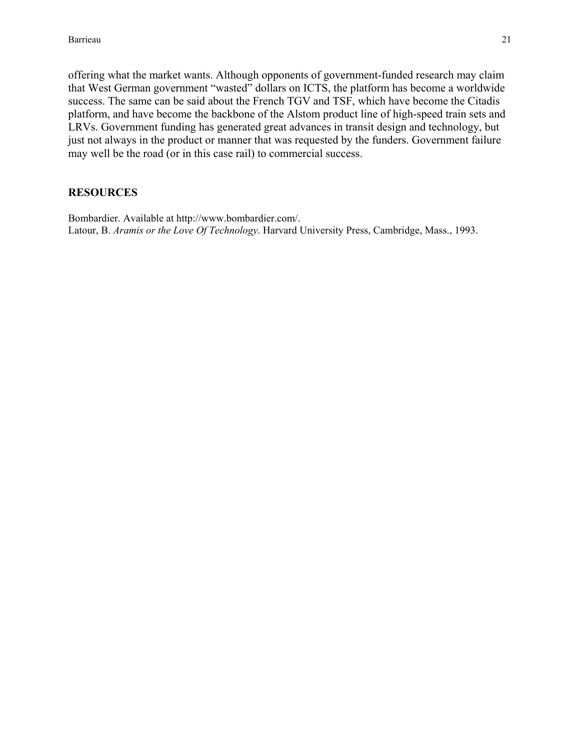offering what the market wants. Although opponents of government-funded research may claim that West German government "wasted" dollars on ICTS, the platform has become a worldwide success. The same can be said about the French TGV and TSF, which have become the Citadis platform, and have become the backbone of the Alstom product line of high-speed train sets and LRVs. Government funding has generated great advances in transit design and technology, but just not always in the product or manner that was requested by the funders. Government failure may well be the road (or in this case rail) to commercial success.

#### **RESOURCES**

Bombardier. Available at http://www.bombardier.com/. Latour, B. *Aramis or the Love Of Technology*. Harvard University Press, Cambridge, Mass., 1993.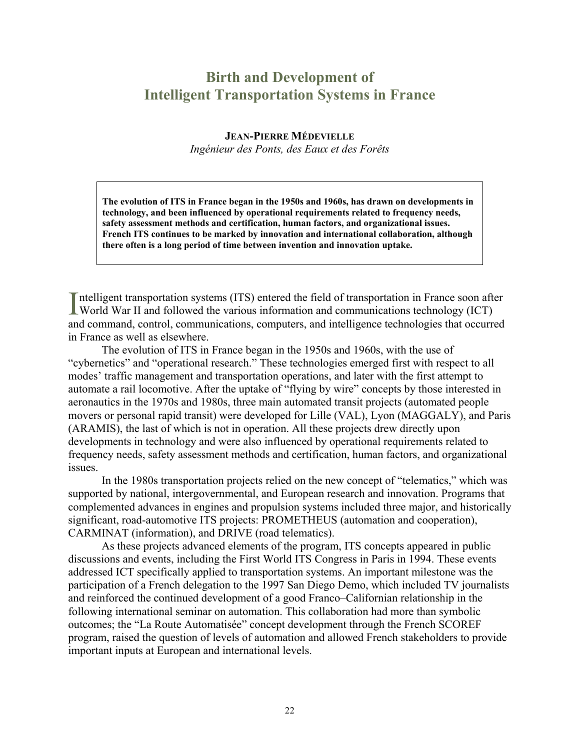## <span id="page-27-0"></span>**Birth and Development of Intelligent Transportation Systems in France**

#### **JEAN-PIERRE MÉDEVIELLE**

*Ingénieur des Ponts, des Eaux et des Forêts* 

**The evolution of ITS in France began in the 1950s and 1960s, has drawn on developments in technology, and been influenced by operational requirements related to frequency needs, safety assessment methods and certification, human factors, and organizational issues. French ITS continues to be marked by innovation and international collaboration, although there often is a long period of time between invention and innovation uptake.** 

ntelligent transportation systems (ITS) entered the field of transportation in France soon after Intelligent transportation systems (ITS) entered the field of transportation in France soon after World War II and followed the various information and communications technology (ICT) and command, control, communications, computers, and intelligence technologies that occurred in France as well as elsewhere.

The evolution of ITS in France began in the 1950s and 1960s, with the use of "cybernetics" and "operational research." These technologies emerged first with respect to all modes' traffic management and transportation operations, and later with the first attempt to automate a rail locomotive. After the uptake of "flying by wire" concepts by those interested in aeronautics in the 1970s and 1980s, three main automated transit projects (automated people movers or personal rapid transit) were developed for Lille (VAL), Lyon (MAGGALY), and Paris (ARAMIS), the last of which is not in operation. All these projects drew directly upon developments in technology and were also influenced by operational requirements related to frequency needs, safety assessment methods and certification, human factors, and organizational issues.

In the 1980s transportation projects relied on the new concept of "telematics," which was supported by national, intergovernmental, and European research and innovation. Programs that complemented advances in engines and propulsion systems included three major, and historically significant, road-automotive ITS projects: PROMETHEUS (automation and cooperation), CARMINAT (information), and DRIVE (road telematics).

As these projects advanced elements of the program, ITS concepts appeared in public discussions and events, including the First World ITS Congress in Paris in 1994. These events addressed ICT specifically applied to transportation systems. An important milestone was the participation of a French delegation to the 1997 San Diego Demo, which included TV journalists and reinforced the continued development of a good Franco–Californian relationship in the following international seminar on automation. This collaboration had more than symbolic outcomes; the "La Route Automatisée" concept development through the French SCOREF program, raised the question of levels of automation and allowed French stakeholders to provide important inputs at European and international levels.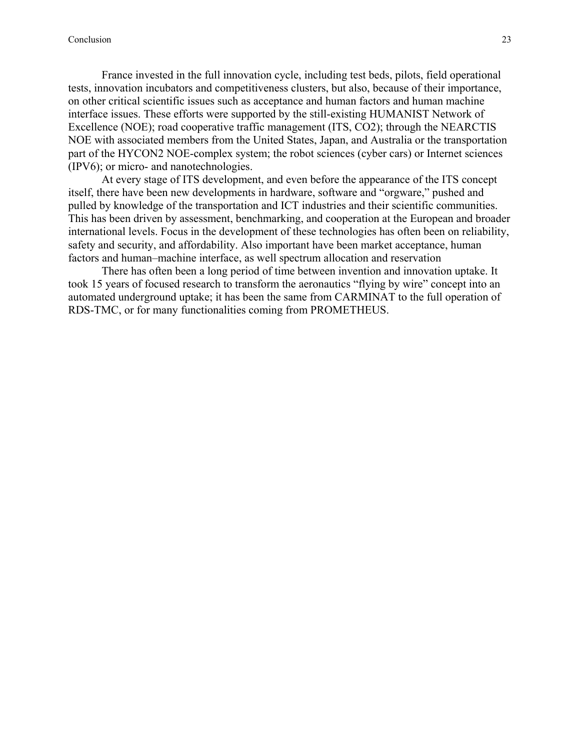France invested in the full innovation cycle, including test beds, pilots, field operational tests, innovation incubators and competitiveness clusters, but also, because of their importance, on other critical scientific issues such as acceptance and human factors and human machine interface issues. These efforts were supported by the still-existing HUMANIST Network of Excellence (NOE); road cooperative traffic management (ITS, CO2); through the NEARCTIS NOE with associated members from the United States, Japan, and Australia or the transportation part of the HYCON2 NOE-complex system; the robot sciences (cyber cars) or Internet sciences (IPV6); or micro- and nanotechnologies.

At every stage of ITS development, and even before the appearance of the ITS concept itself, there have been new developments in hardware, software and "orgware," pushed and pulled by knowledge of the transportation and ICT industries and their scientific communities. This has been driven by assessment, benchmarking, and cooperation at the European and broader international levels. Focus in the development of these technologies has often been on reliability, safety and security, and affordability. Also important have been market acceptance, human factors and human–machine interface, as well spectrum allocation and reservation

There has often been a long period of time between invention and innovation uptake. It took 15 years of focused research to transform the aeronautics "flying by wire" concept into an automated underground uptake; it has been the same from CARMINAT to the full operation of RDS-TMC, or for many functionalities coming from PROMETHEUS.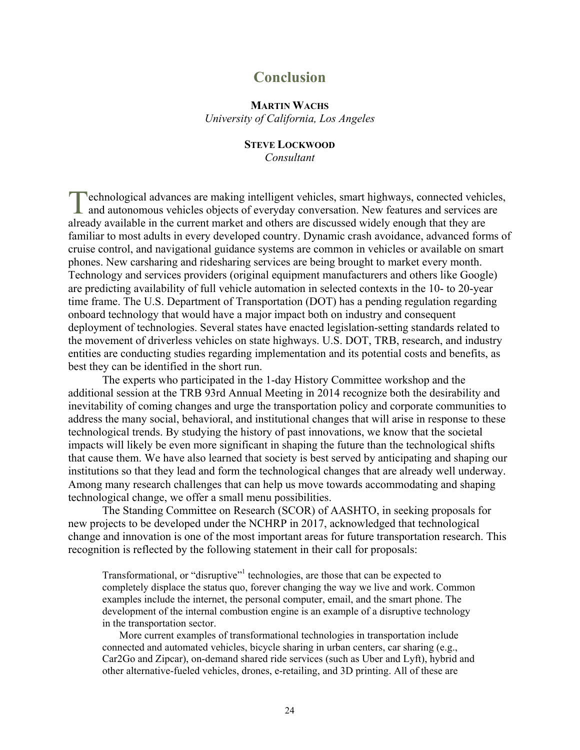#### **Conclusion**

#### **MARTIN WACHS**  *University of California, Los Angeles*

#### **STEVE LOCKWOOD** *Consultant*

<span id="page-29-0"></span>Technological advances are making intelligent vehicles, smart highways, connected vehicles, and autonomous vehicles objects of everyday conversation. New features and services are and autonomous vehicles objects of everyday conversation. New features and services are already available in the current market and others are discussed widely enough that they are familiar to most adults in every developed country. Dynamic crash avoidance, advanced forms of cruise control, and navigational guidance systems are common in vehicles or available on smart phones. New carsharing and ridesharing services are being brought to market every month. Technology and services providers (original equipment manufacturers and others like Google) are predicting availability of full vehicle automation in selected contexts in the 10- to 20-year time frame. The U.S. Department of Transportation (DOT) has a pending regulation regarding onboard technology that would have a major impact both on industry and consequent deployment of technologies. Several states have enacted legislation-setting standards related to the movement of driverless vehicles on state highways. U.S. DOT, TRB, research, and industry entities are conducting studies regarding implementation and its potential costs and benefits, as best they can be identified in the short run.

The experts who participated in the 1-day History Committee workshop and the additional session at the TRB 93rd Annual Meeting in 2014 recognize both the desirability and inevitability of coming changes and urge the transportation policy and corporate communities to address the many social, behavioral, and institutional changes that will arise in response to these technological trends. By studying the history of past innovations, we know that the societal impacts will likely be even more significant in shaping the future than the technological shifts that cause them. We have also learned that society is best served by anticipating and shaping our institutions so that they lead and form the technological changes that are already well underway. Among many research challenges that can help us move towards accommodating and shaping technological change, we offer a small menu possibilities.

The Standing Committee on Research (SCOR) of AASHTO, in seeking proposals for new projects to be developed under the NCHRP in 2017, acknowledged that technological change and innovation is one of the most important areas for future transportation research. This recognition is reflected by the following statement in their call for proposals:

Transformational, or "disruptive"<sup>1</sup> technologies, are those that can be expected to completely displace the status quo, forever changing the way we live and work. Common examples include the internet, the personal computer, email, and the smart phone. The development of the internal combustion engine is an example of a disruptive technology in the transportation sector.

More current examples of transformational technologies in transportation include connected and automated vehicles, bicycle sharing in urban centers, car sharing (e.g., Car2Go and Zipcar), on-demand shared ride services (such as Uber and Lyft), hybrid and other alternative-fueled vehicles, drones, e-retailing, and 3D printing. All of these are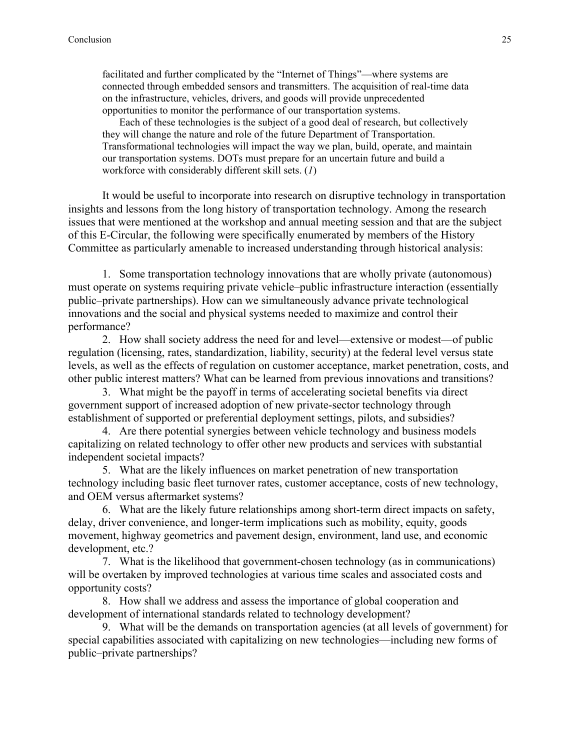facilitated and further complicated by the "Internet of Things"—where systems are connected through embedded sensors and transmitters. The acquisition of real-time data on the infrastructure, vehicles, drivers, and goods will provide unprecedented opportunities to monitor the performance of our transportation systems.

Each of these technologies is the subject of a good deal of research, but collectively they will change the nature and role of the future Department of Transportation. Transformational technologies will impact the way we plan, build, operate, and maintain our transportation systems. DOTs must prepare for an uncertain future and build a workforce with considerably different skill sets. (*1*)

It would be useful to incorporate into research on disruptive technology in transportation insights and lessons from the long history of transportation technology. Among the research issues that were mentioned at the workshop and annual meeting session and that are the subject of this E-Circular, the following were specifically enumerated by members of the History Committee as particularly amenable to increased understanding through historical analysis:

1. Some transportation technology innovations that are wholly private (autonomous) must operate on systems requiring private vehicle–public infrastructure interaction (essentially public–private partnerships). How can we simultaneously advance private technological innovations and the social and physical systems needed to maximize and control their performance?

2. How shall society address the need for and level—extensive or modest—of public regulation (licensing, rates, standardization, liability, security) at the federal level versus state levels, as well as the effects of regulation on customer acceptance, market penetration, costs, and other public interest matters? What can be learned from previous innovations and transitions?

3. What might be the payoff in terms of accelerating societal benefits via direct government support of increased adoption of new private-sector technology through establishment of supported or preferential deployment settings, pilots, and subsidies?

4. Are there potential synergies between vehicle technology and business models capitalizing on related technology to offer other new products and services with substantial independent societal impacts?

5. What are the likely influences on market penetration of new transportation technology including basic fleet turnover rates, customer acceptance, costs of new technology, and OEM versus aftermarket systems?

6. What are the likely future relationships among short-term direct impacts on safety, delay, driver convenience, and longer-term implications such as mobility, equity, goods movement, highway geometrics and pavement design, environment, land use, and economic development, etc.?

7. What is the likelihood that government-chosen technology (as in communications) will be overtaken by improved technologies at various time scales and associated costs and opportunity costs?

8. How shall we address and assess the importance of global cooperation and development of international standards related to technology development?

9. What will be the demands on transportation agencies (at all levels of government) for special capabilities associated with capitalizing on new technologies—including new forms of public–private partnerships?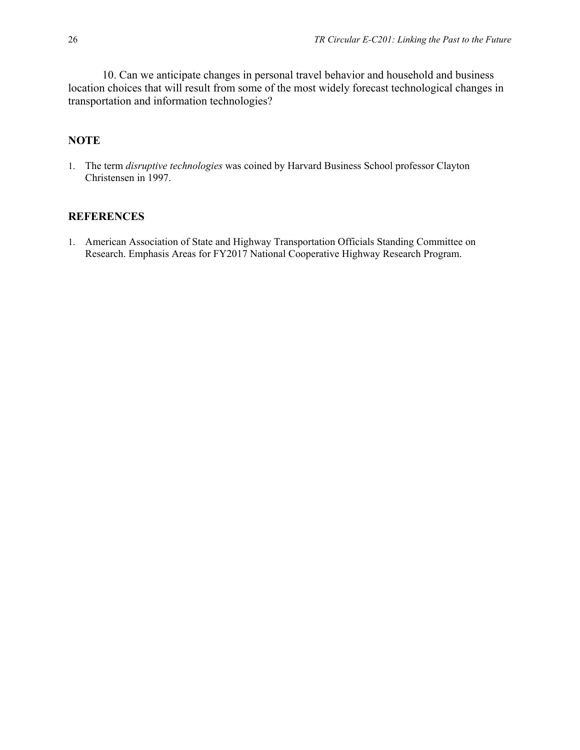10. Can we anticipate changes in personal travel behavior and household and business location choices that will result from some of the most widely forecast technological changes in transportation and information technologies?

#### **NOTE**

1. The term *disruptive technologies* was coined by Harvard Business School professor Clayton Christensen in 1997.

#### **REFERENCES**

1. American Association of State and Highway Transportation Officials Standing Committee on Research. Emphasis Areas for FY2017 National Cooperative Highway Research Program.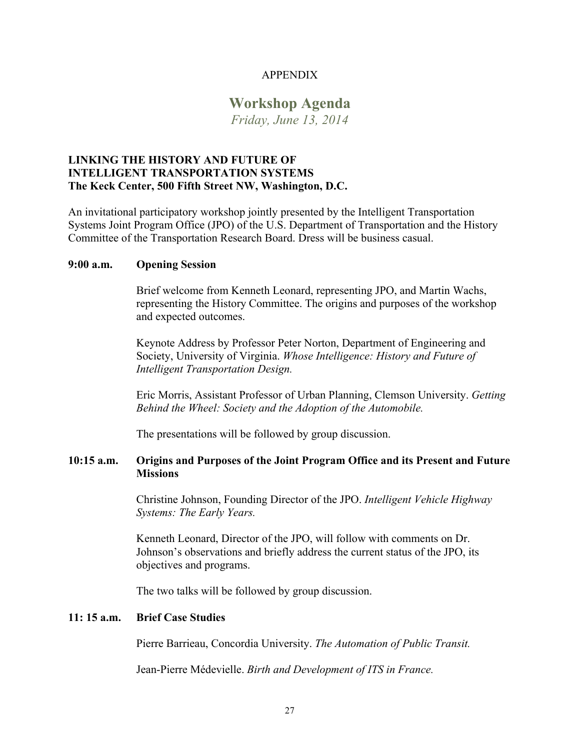#### APPENDIX

#### **Workshop Agenda**

*Friday, June 13, 2014* 

#### <span id="page-32-0"></span>**LINKING THE HISTORY AND FUTURE OF INTELLIGENT TRANSPORTATION SYSTEMS The Keck Center, 500 Fifth Street NW, Washington, D.C.**

An invitational participatory workshop jointly presented by the Intelligent Transportation Systems Joint Program Office (JPO) of the U.S. Department of Transportation and the History Committee of the Transportation Research Board. Dress will be business casual.

#### **9:00 a.m. Opening Session**

Brief welcome from Kenneth Leonard, representing JPO, and Martin Wachs, representing the History Committee. The origins and purposes of the workshop and expected outcomes.

Keynote Address by Professor Peter Norton, Department of Engineering and Society, University of Virginia. *Whose Intelligence: History and Future of Intelligent Transportation Design.*

Eric Morris, Assistant Professor of Urban Planning, Clemson University. *Getting Behind the Wheel: Society and the Adoption of the Automobile.*

The presentations will be followed by group discussion.

#### **10:15 a.m. Origins and Purposes of the Joint Program Office and its Present and Future Missions**

Christine Johnson, Founding Director of the JPO. *Intelligent Vehicle Highway Systems: The Early Years.* 

Kenneth Leonard, Director of the JPO, will follow with comments on Dr. Johnson's observations and briefly address the current status of the JPO, its objectives and programs.

The two talks will be followed by group discussion.

#### **11: 15 a.m. Brief Case Studies**

Pierre Barrieau, Concordia University. *The Automation of Public Transit.*

Jean-Pierre Médevielle. *Birth and Development of ITS in France.*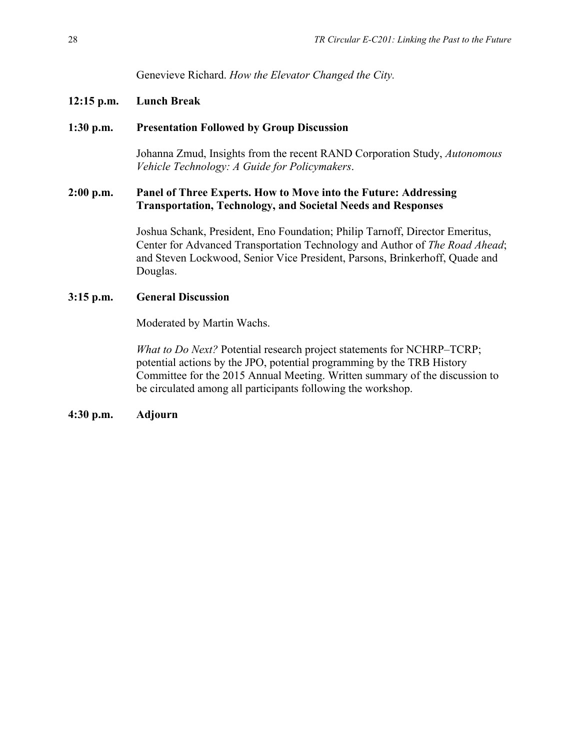Genevieve Richard. *How the Elevator Changed the City.*

#### **12:15 p.m. Lunch Break**

#### **1:30 p.m. Presentation Followed by Group Discussion**

Johanna Zmud, Insights from the recent RAND Corporation Study, *Autonomous Vehicle Technology: A Guide for Policymakers*.

#### **2:00 p.m. Panel of Three Experts. How to Move into the Future: Addressing Transportation, Technology, and Societal Needs and Responses**

Joshua Schank, President, Eno Foundation; Philip Tarnoff, Director Emeritus, Center for Advanced Transportation Technology and Author of *The Road Ahead*; and Steven Lockwood, Senior Vice President, Parsons, Brinkerhoff, Quade and Douglas.

#### **3:15 p.m. General Discussion**

Moderated by Martin Wachs.

*What to Do Next?* Potential research project statements for NCHRP–TCRP; potential actions by the JPO, potential programming by the TRB History Committee for the 2015 Annual Meeting. Written summary of the discussion to be circulated among all participants following the workshop.

#### **4:30 p.m. Adjourn**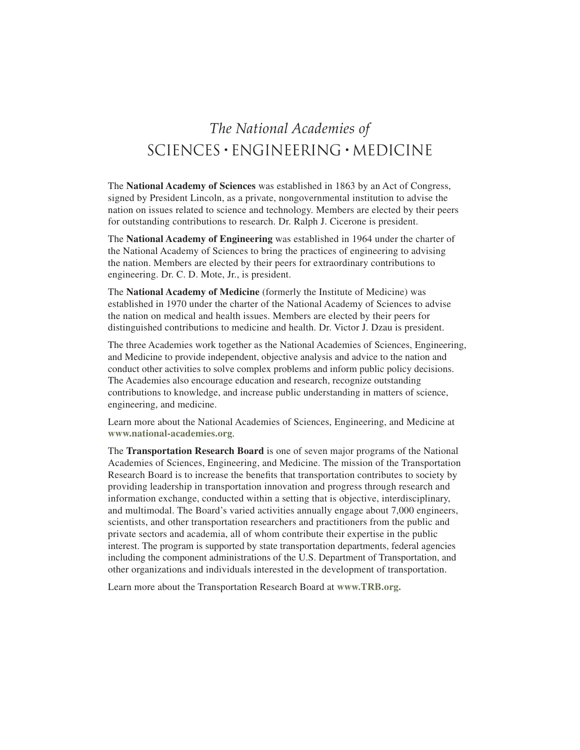# <span id="page-34-0"></span>The National Academies of SCIENCES · ENGINEERING · MEDICINE

The **National Academy of Sciences** was established in 1863 by an Act of Congress, signed by President Lincoln, as a private, nongovernmental institution to advise the nation on issues related to science and technology. Members are elected by their peers for outstanding contributions to research. Dr. Ralph J. Cicerone is president.

The **National Academy of Engineering** was established in 1964 under the charter of the National Academy of Sciences to bring the practices of engineering to advising the nation. Members are elected by their peers for extraordinary contributions to engineering. Dr. C. D. Mote, Jr., is president.

The **National Academy of Medicine** (formerly the Institute of Medicine) was established in 1970 under the charter of the National Academy of Sciences to advise the nation on medical and health issues. Members are elected by their peers for distinguished contributions to medicine and health. Dr. Victor J. Dzau is president.

The three Academies work together as the National Academies of Sciences, Engineering, and Medicine to provide independent, objective analysis and advice to the nation and conduct other activities to solve complex problems and inform public policy decisions. The Academies also encourage education and research, recognize outstanding contributions to knowledge, and increase public understanding in matters of science, engineering, and medicine.

Learn more about the National Academies of Sciences, Engineering, and Medicine at **[www.national-academies.org](http://www.national-academies.org)**.

The **Transportation Research Board** is one of seven major programs of the National Academies of Sciences, Engineering, and Medicine. The mission of the Transportation Research Board is to increase the benefits that transportation contributes to society by providing leadership in transportation innovation and progress through research and information exchange, conducted within a setting that is objective, interdisciplinary, and multimodal. The Board's varied activities annually engage about 7,000 engineers, scientists, and other transportation researchers and practitioners from the public and private sectors and academia, all of whom contribute their expertise in the public interest. The program is supported by state transportation departments, federal agencies including the component administrations of the U.S. Department of Transportation, and other organizations and individuals interested in the development of transportation.

Learn more about the Transportation Research Board at **[www.TRB.org.](http://www.trb.org)**